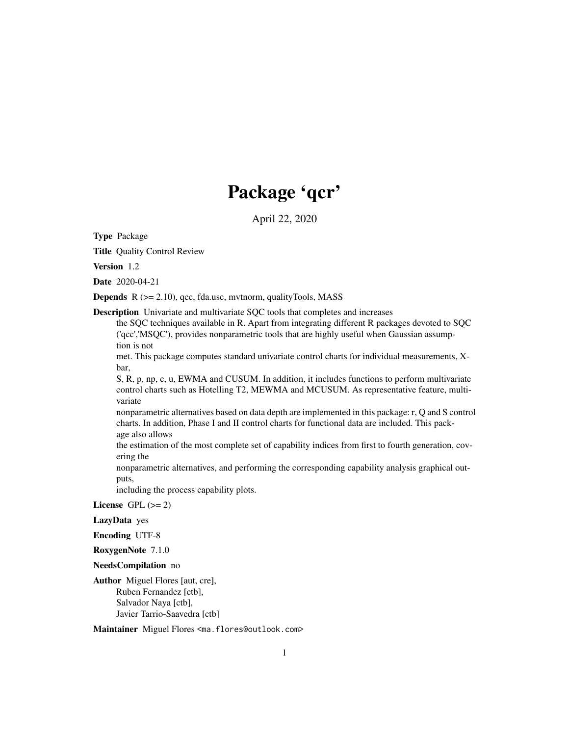# Package 'qcr'

April 22, 2020

Type Package

Title Quality Control Review

Version 1.2

Date 2020-04-21

**Depends**  $R$  ( $>= 2.10$ ), qcc, fda.usc, mythorm, qualityTools, MASS

Description Univariate and multivariate SQC tools that completes and increases

the SQC techniques available in R. Apart from integrating different R packages devoted to SQC ('qcc','MSQC'), provides nonparametric tools that are highly useful when Gaussian assumption is not

met. This package computes standard univariate control charts for individual measurements, Xbar,

S, R, p, np, c, u, EWMA and CUSUM. In addition, it includes functions to perform multivariate control charts such as Hotelling T2, MEWMA and MCUSUM. As representative feature, multivariate

nonparametric alternatives based on data depth are implemented in this package: r, Q and S control charts. In addition, Phase I and II control charts for functional data are included. This package also allows

the estimation of the most complete set of capability indices from first to fourth generation, covering the

nonparametric alternatives, and performing the corresponding capability analysis graphical outputs,

including the process capability plots.

License GPL  $(>= 2)$ 

LazyData yes

Encoding UTF-8

RoxygenNote 7.1.0

NeedsCompilation no

Author Miguel Flores [aut, cre], Ruben Fernandez [ctb], Salvador Naya [ctb], Javier Tarrio-Saavedra [ctb]

Maintainer Miguel Flores <ma.flores@outlook.com>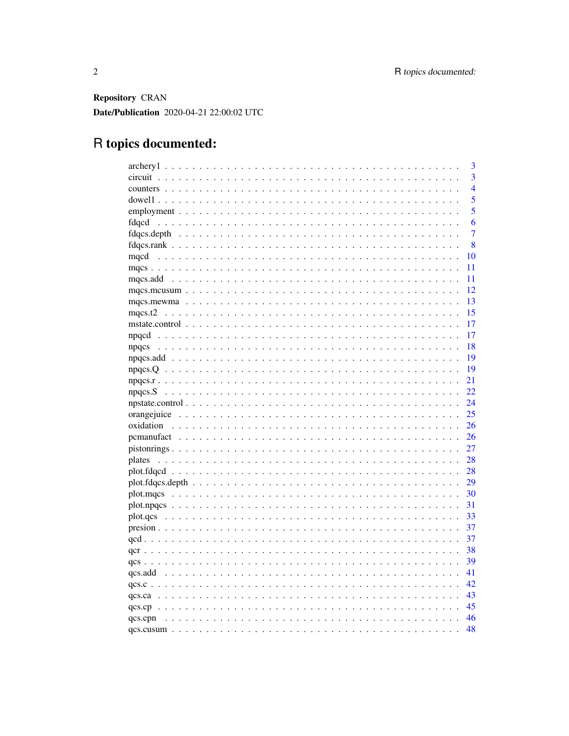Repository CRAN Date/Publication 2020-04-21 22:00:02 UTC

## R topics documented:

|               | 3              |
|---------------|----------------|
|               | $\overline{3}$ |
|               | $\overline{4}$ |
|               | $\overline{5}$ |
|               | 5              |
|               | 6              |
|               | 7              |
|               | 8              |
| mqcd<br>10    |                |
| 11            |                |
| 11            |                |
| 12            |                |
| 13            |                |
| 15            |                |
| 17            |                |
| 17            |                |
| 18            |                |
| - 19          |                |
| 19            |                |
| 21            |                |
| 22            |                |
| 24            |                |
| 25            |                |
| 26            |                |
| 26            |                |
| 27            |                |
| 28            |                |
| - 28          |                |
| 29            |                |
| 30            |                |
|               |                |
| 33            |                |
| 37            |                |
| 37            |                |
| 38            |                |
| 39            |                |
| 41            |                |
| 42            |                |
| 43            |                |
| 45            |                |
| 46<br>qcs.cpn |                |
| 48            |                |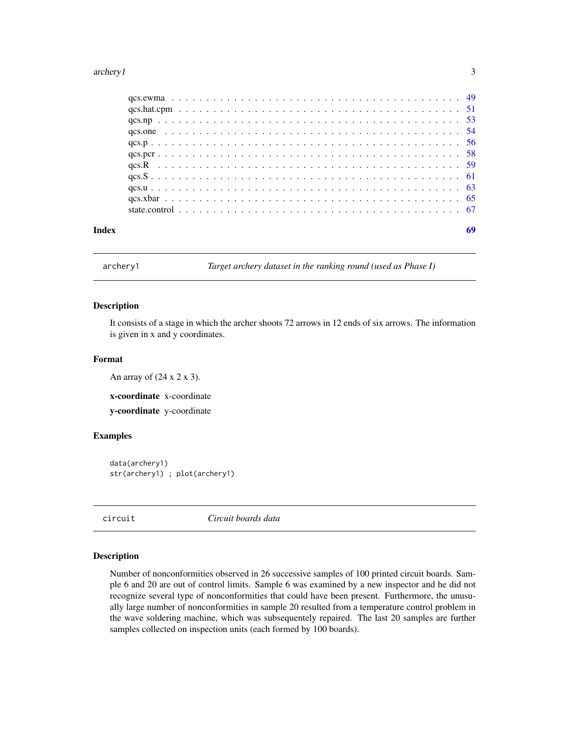#### <span id="page-2-0"></span>archery1 3

| Index |  |  |  |  |  |  |  |  |  |  |  |  |  |  |  |  |  |  |
|-------|--|--|--|--|--|--|--|--|--|--|--|--|--|--|--|--|--|--|

archery1 *Target archery dataset in the ranking round (used as Phase I)*

#### Description

It consists of a stage in which the archer shoots 72 arrows in 12 ends of six arrows. The information is given in x and y coordinates.

#### Format

An array of  $(24 \times 2 \times 3)$ .

x-coordinate x-coordinate

y-coordinate y-coordinate

#### Examples

data(archery1) str(archery1) ; plot(archery1)

circuit *Circuit boards data*

#### Description

Number of nonconformities observed in 26 successive samples of 100 printed circuit boards. Sample 6 and 20 are out of control limits. Sample 6 was examined by a new inspector and he did not recognize several type of nonconformities that could have been present. Furthermore, the unusually large number of nonconformities in sample 20 resulted from a temperature control problem in the wave soldering machine, which was subsequentely repaired. The last 20 samples are further samples collected on inspection units (each formed by 100 boards).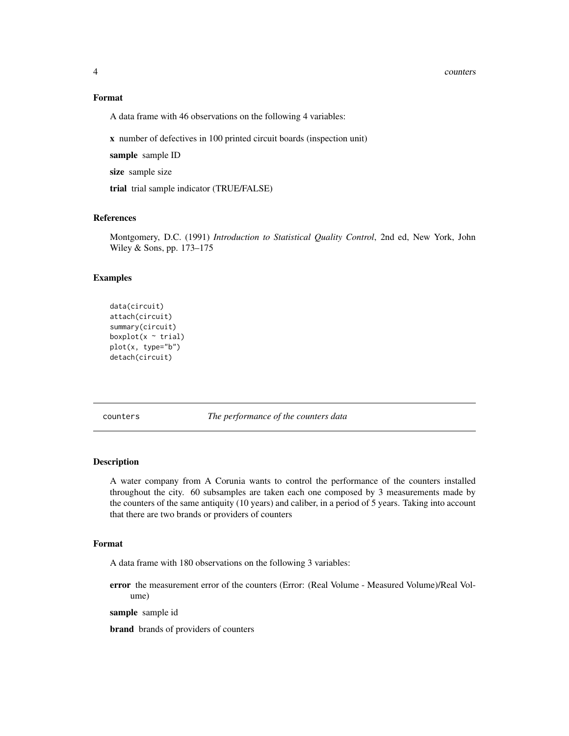#### 4 counters and  $\sim$  counters and  $\sim$  counters and  $\sim$  counters and  $\sim$  counters and  $\sim$  counters and  $\sim$  counters and  $\sim$  counters and  $\sim$  counters and  $\sim$  counters and  $\sim$  counters and  $\sim$  counters and  $\sim$  coun

#### Format

A data frame with 46 observations on the following 4 variables:

x number of defectives in 100 printed circuit boards (inspection unit)

sample sample ID

size sample size

trial trial sample indicator (TRUE/FALSE)

#### References

Montgomery, D.C. (1991) *Introduction to Statistical Quality Control*, 2nd ed, New York, John Wiley & Sons, pp. 173–175

#### Examples

```
data(circuit)
attach(circuit)
summary(circuit)
boxplot(x \sim \text{trial})
plot(x, type="b")
detach(circuit)
```
counters *The performance of the counters data*

#### Description

A water company from A Corunia wants to control the performance of the counters installed throughout the city. 60 subsamples are taken each one composed by 3 measurements made by the counters of the same antiquity (10 years) and caliber, in a period of 5 years. Taking into account that there are two brands or providers of counters

#### Format

A data frame with 180 observations on the following 3 variables:

error the measurement error of the counters (Error: (Real Volume - Measured Volume)/Real Volume)

sample sample id

brand brands of providers of counters

<span id="page-3-0"></span>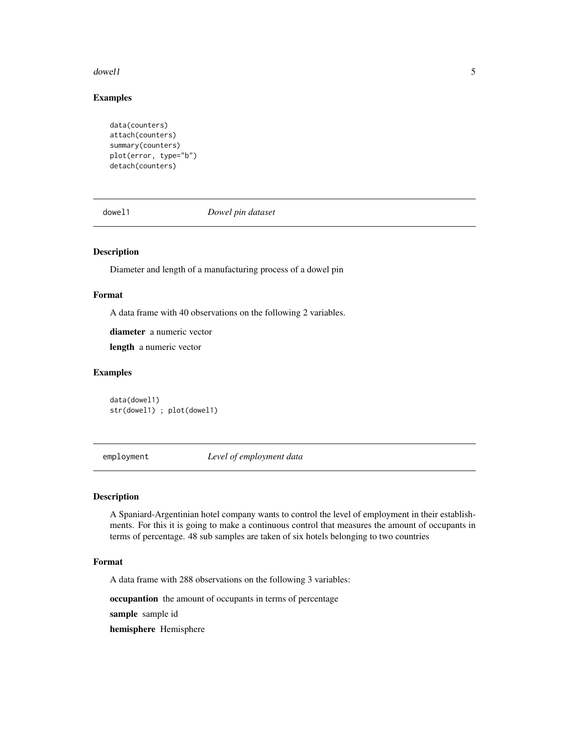#### <span id="page-4-0"></span> $d$ owell  $\overline{5}$

#### Examples

```
data(counters)
attach(counters)
summary(counters)
plot(error, type="b")
detach(counters)
```
dowel1 *Dowel pin dataset*

#### Description

Diameter and length of a manufacturing process of a dowel pin

#### Format

A data frame with 40 observations on the following 2 variables.

diameter a numeric vector

length a numeric vector

#### Examples

data(dowel1) str(dowel1) ; plot(dowel1)

employment *Level of employment data*

#### Description

A Spaniard-Argentinian hotel company wants to control the level of employment in their establishments. For this it is going to make a continuous control that measures the amount of occupants in terms of percentage. 48 sub samples are taken of six hotels belonging to two countries

#### Format

A data frame with 288 observations on the following 3 variables:

occupantion the amount of occupants in terms of percentage

sample sample id

hemisphere Hemisphere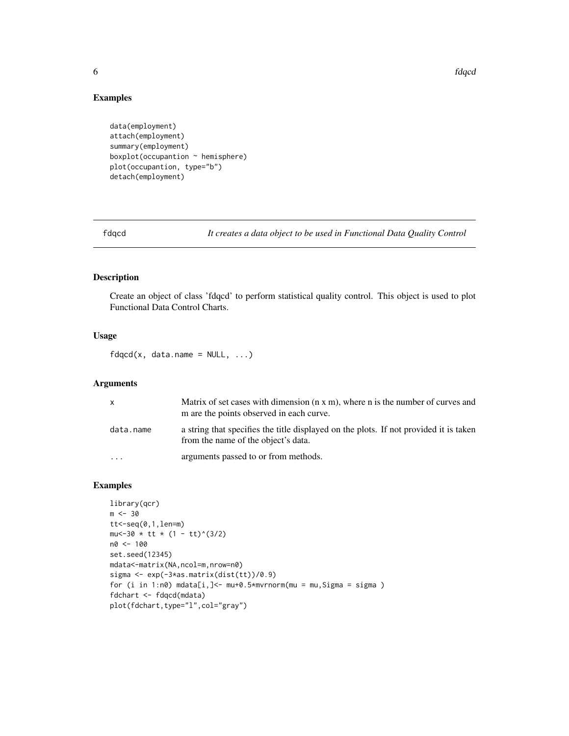$\epsilon$  fdqcd  $\epsilon$  fdqcd  $\epsilon$  fdqcd  $\epsilon$  fdqcd  $\epsilon$  fdqcd  $\epsilon$  fdqcd  $\epsilon$  fdqcd  $\epsilon$  fdqcd  $\epsilon$  fdqcd  $\epsilon$  fdqcd  $\epsilon$  fdqcd  $\epsilon$  fdqcd  $\epsilon$  fdqcd  $\epsilon$  fdqcd  $\epsilon$  fd  $\epsilon$  fd  $\epsilon$  fd  $\epsilon$  fd  $\epsilon$  fd  $\epsilon$  fd  $\epsilon$  fd  $\epsilon$  fd  $\epsilon$ 

#### Examples

```
data(employment)
attach(employment)
summary(employment)
boxplot(occupation ~ hemisphere)plot(occupantion, type="b")
detach(employment)
```
fdqcd *It creates a data object to be used in Functional Data Quality Control*

#### Description

Create an object of class 'fdqcd' to perform statistical quality control. This object is used to plot Functional Data Control Charts.

#### Usage

 $fdqcd(x, data.name = NULL, ...)$ 

#### Arguments

| $\mathsf{x}$ | Matrix of set cases with dimension $(n \times m)$ , where n is the number of curves and<br>m are the points observed in each curve. |
|--------------|-------------------------------------------------------------------------------------------------------------------------------------|
| data.name    | a string that specifies the title displayed on the plots. If not provided it is taken<br>from the name of the object's data.        |
| $\cdot$      | arguments passed to or from methods.                                                                                                |

#### Examples

```
library(qcr)
m < -30tt < -seq(0,1,len=m)mu<-30 \times tt \times (1 - tt)^(3/2)n0 <- 100
set.seed(12345)
mdata<-matrix(NA,ncol=m,nrow=n0)
sigma <- exp(-3*as.matrix(dist(tt))/0.9)
for (i in 1:n0) mdata[i,]<- mu+0.5*mvrnorm(mu = mu,Sigma = sigma )
fdchart <- fdqcd(mdata)
plot(fdchart,type="l",col="gray")
```
<span id="page-5-0"></span>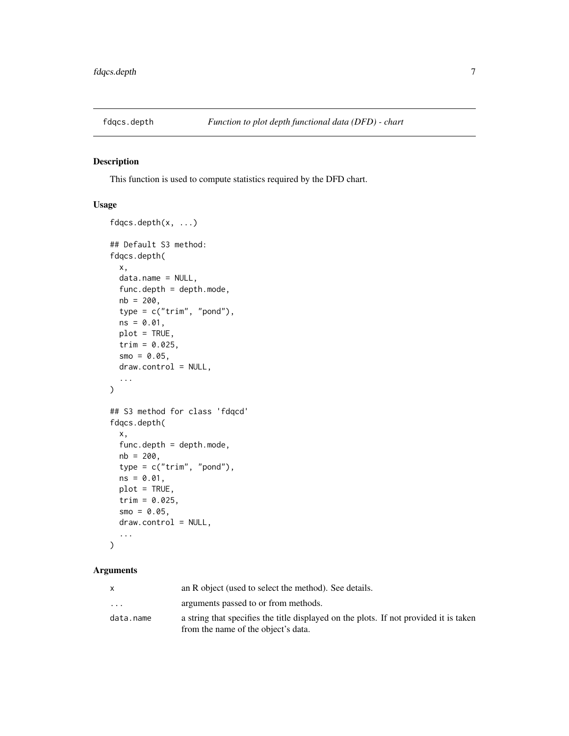<span id="page-6-0"></span>

#### Description

This function is used to compute statistics required by the DFD chart.

#### Usage

```
fdqcs.depth(x, ...)
## Default S3 method:
fdqcs.depth(
 x,
 data.name = NULL,
 func.depth = depth.mode,nb = 200,type = c("trim", "pond"),ns = 0.01,plot = TRUE,
 trim = 0.025,smo = 0.05,
 draw.control = NULL,
  ...
)
## S3 method for class 'fdqcd'
fdqcs.depth(
 x,
 func.depth = depth.mode,
 nb = 200,type = c("trim", "pond"),ns = 0.01,plot = TRUE,
 trim = 0.025,smo = 0.05,
 draw.control = NULL,
  ...
```

```
)
```

|                         | an R object (used to select the method). See details.                                 |
|-------------------------|---------------------------------------------------------------------------------------|
| $\cdot$ $\cdot$ $\cdot$ | arguments passed to or from methods.                                                  |
| data.name               | a string that specifies the title displayed on the plots. If not provided it is taken |
|                         | from the name of the object's data.                                                   |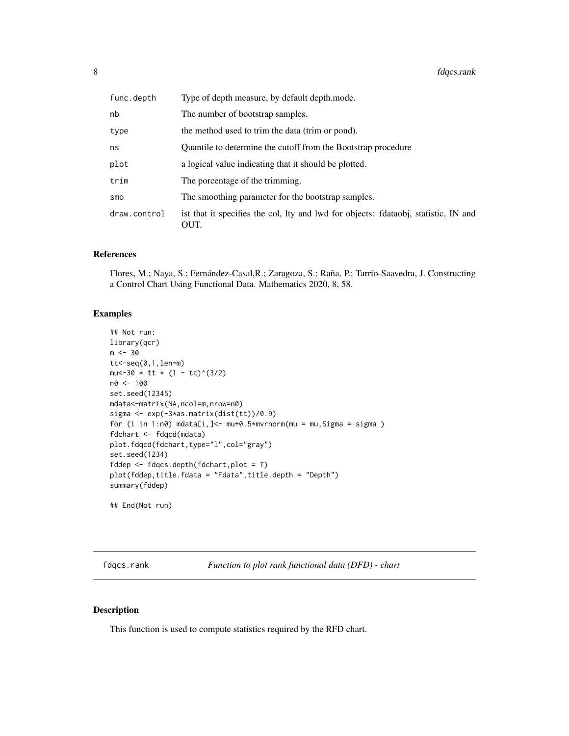<span id="page-7-0"></span>

| func.depth   | Type of depth measure, by default depth.mode.                                               |
|--------------|---------------------------------------------------------------------------------------------|
| nb           | The number of bootstrap samples.                                                            |
| type         | the method used to trim the data (trim or pond).                                            |
| ns           | Quantile to determine the cutoff from the Bootstrap procedure                               |
| plot         | a logical value indicating that it should be plotted.                                       |
| trim         | The porcentage of the trimming.                                                             |
| smo          | The smoothing parameter for the bootstrap samples.                                          |
| draw.control | ist that it specifies the col, lty and lwd for objects: fdataobj, statistic, IN and<br>OUT. |

#### References

Flores, M.; Naya, S.; Fernández-Casal,R.; Zaragoza, S.; Raña, P.; Tarrío-Saavedra, J. Constructing a Control Chart Using Functional Data. Mathematics 2020, 8, 58.

#### Examples

```
## Not run:
library(qcr)
m < -30tt < -seq(0,1,len=m)mu<-30 * tt * (1 - tt)^(3/2)
n0 <- 100
set.seed(12345)
mdata<-matrix(NA,ncol=m,nrow=n0)
sigma <- exp(-3*as.matrix(dist(tt))/0.9)
for (i in 1:n\emptyset) mdata[i,] <- mu+0.5*mvrnorm(mu = mu, Sigma = sigma)
fdchart <- fdqcd(mdata)
plot.fdqcd(fdchart,type="l",col="gray")
set.seed(1234)
fddep <- fdqcs.depth(fdchart,plot = T)
plot(fddep,title.fdata = "Fdata",title.depth = "Depth")
summary(fddep)
## End(Not run)
```
fdqcs.rank *Function to plot rank functional data (DFD) - chart*

#### Description

This function is used to compute statistics required by the RFD chart.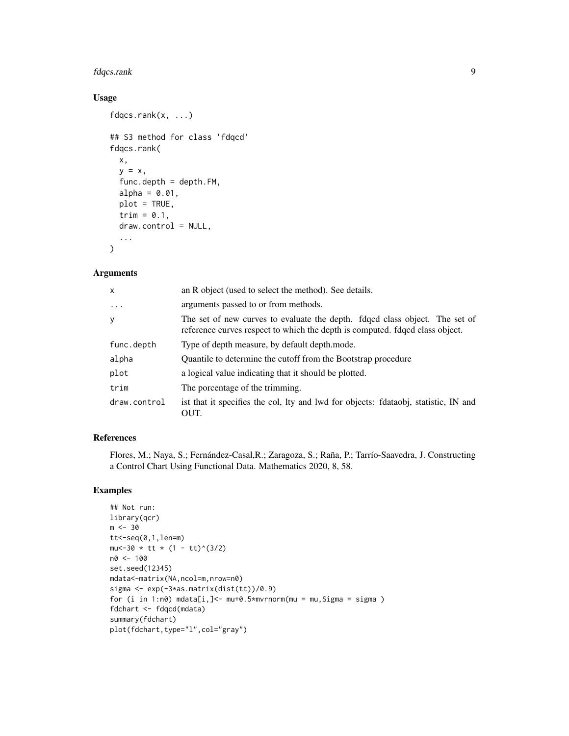#### fdqcs.rank 9

#### Usage

```
fdqcs.rank(x, ...)
## S3 method for class 'fdqcd'
fdqcs.rank(
 x,
 y = x,
  func.depth = depth.FM,
 alpha = 0.01,
 plot = TRUE,
  trim = 0.1,
 draw.control = NULL,
  ...
\mathcal{L}
```
#### Arguments

| x            | an R object (used to select the method). See details.                                                                                                       |
|--------------|-------------------------------------------------------------------------------------------------------------------------------------------------------------|
| $\ddots$     | arguments passed to or from methods.                                                                                                                        |
| y            | The set of new curves to evaluate the depth. fdqcd class object. The set of<br>reference curves respect to which the depth is computed. fdqcd class object. |
| func.depth   | Type of depth measure, by default depth.mode.                                                                                                               |
| alpha        | Quantile to determine the cutoff from the Bootstrap procedure                                                                                               |
| plot         | a logical value indicating that it should be plotted.                                                                                                       |
| trim         | The porcentage of the trimming.                                                                                                                             |
| draw.control | ist that it specifies the col, lty and lwd for objects: fdataobj, statistic, IN and<br>OUT.                                                                 |

#### References

Flores, M.; Naya, S.; Fernández-Casal,R.; Zaragoza, S.; Raña, P.; Tarrío-Saavedra, J. Constructing a Control Chart Using Functional Data. Mathematics 2020, 8, 58.

#### Examples

```
## Not run:
library(qcr)
m < -30tt < -seq(0,1,len=m)mu<-30 \times tt \times (1 - tt)^(3/2)n0 <- 100
set.seed(12345)
mdata<-matrix(NA,ncol=m,nrow=n0)
sigma <- exp(-3*as.matrix(dist(tt))/0.9)
for (i in 1:n\emptyset) mdata[i,] <- mu+0.5*mvrnorm(mu = mu, Sigma = sigma)
fdchart <- fdqcd(mdata)
summary(fdchart)
plot(fdchart,type="l",col="gray")
```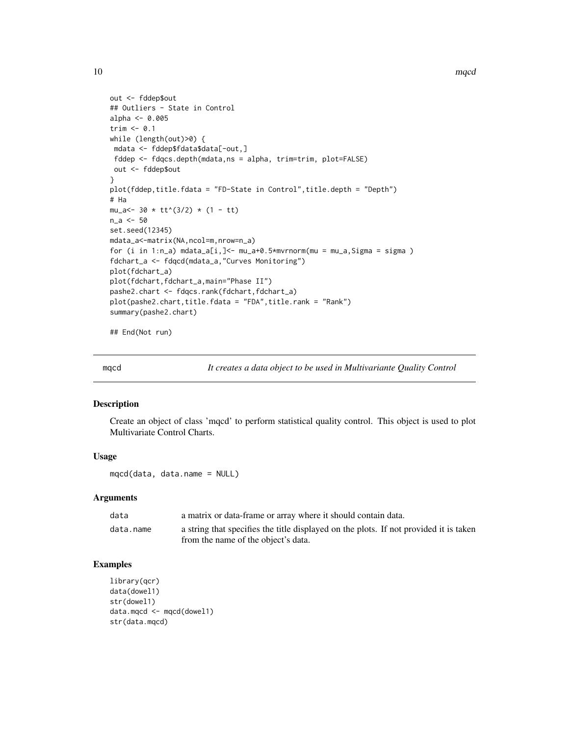<span id="page-9-0"></span>10 mqcd

```
out <- fddep$out
## Outliers - State in Control
alpha <- 0.005
trim \leq 0.1while (length(out)>0) {
mdata <- fddep$fdata$data[-out,]
fddep <- fdqcs.depth(mdata,ns = alpha, trim=trim, plot=FALSE)
out <- fddep$out
}
plot(fddep,title.fdata = "FD-State in Control",title.depth = "Depth")
# Ha
mu_a < -30 \times tt^(3/2) \times (1 - tt)n_a <- 50
set.seed(12345)
mdata_a<-matrix(NA,ncol=m,nrow=n_a)
for (i in 1:n_a) mdata_a[i,]<- mu_a+0.5*mvrnorm(mu = mu_a,Sigma = sigma )
fdchart_a <- fdqcd(mdata_a,"Curves Monitoring")
plot(fdchart_a)
plot(fdchart,fdchart_a,main="Phase II")
pashe2.chart <- fdqcs.rank(fdchart,fdchart_a)
plot(pashe2.chart,title.fdata = "FDA",title.rank = "Rank")
summary(pashe2.chart)
```
## End(Not run)

mqcd *It creates a data object to be used in Multivariante Quality Control*

#### Description

Create an object of class 'mqcd' to perform statistical quality control. This object is used to plot Multivariate Control Charts.

#### Usage

mqcd(data, data.name = NULL)

#### Arguments

| data      | a matrix or data-frame or array where it should contain data.                                                                |
|-----------|------------------------------------------------------------------------------------------------------------------------------|
| data.name | a string that specifies the title displayed on the plots. If not provided it is taken<br>from the name of the object's data. |

#### Examples

```
library(qcr)
data(dowel1)
str(dowel1)
data.mqcd <- mqcd(dowel1)
str(data.mqcd)
```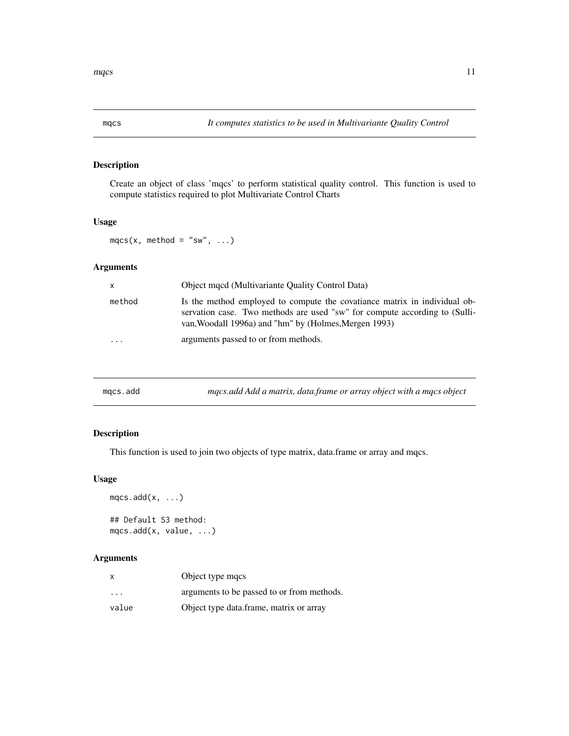#### <span id="page-10-0"></span>Description

Create an object of class 'mqcs' to perform statistical quality control. This function is used to compute statistics required to plot Multivariate Control Charts

#### Usage

 $mqcs(x, method = "sw", ...)$ 

#### Arguments

| $\mathsf{x}$            | Object mond (Multivariante Quality Control Data)                                                                                                                                                                 |
|-------------------------|------------------------------------------------------------------------------------------------------------------------------------------------------------------------------------------------------------------|
| method                  | Is the method employed to compute the covatiance matrix in individual ob-<br>servation case. Two methods are used "sw" for compute according to (Sulli-<br>van, Woodall 1996a) and "hm" by (Holmes, Mergen 1993) |
| $\cdot$ $\cdot$ $\cdot$ | arguments passed to or from methods.                                                                                                                                                                             |

| mgcs.add | mqcs.add Add a matrix, data.frame or array object with a mqcs object |
|----------|----------------------------------------------------------------------|
|----------|----------------------------------------------------------------------|

#### Description

This function is used to join two objects of type matrix, data.frame or array and mqcs.

#### Usage

```
mqcs.add(x, \ldots)## Default S3 method:
mqcs.add(x, value, ...)
```

| $\times$                | Object type macs                           |
|-------------------------|--------------------------------------------|
| $\cdot$ $\cdot$ $\cdot$ | arguments to be passed to or from methods. |
| value                   | Object type data.frame, matrix or array    |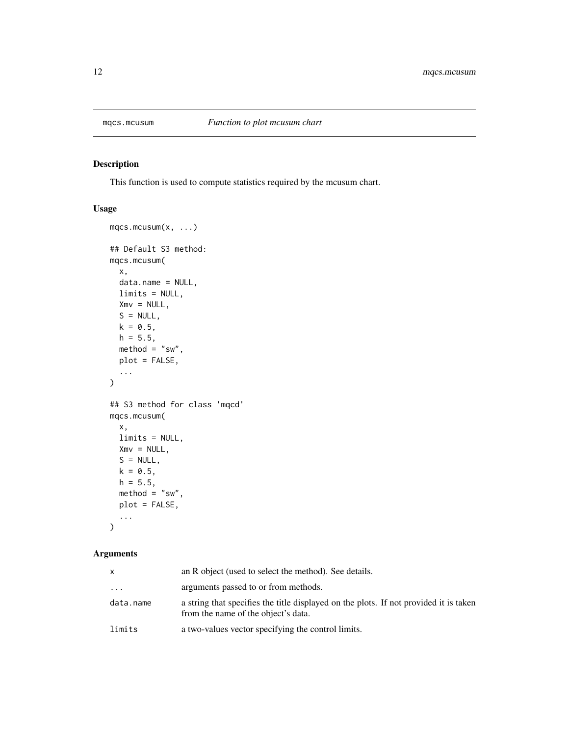<span id="page-11-0"></span>

#### Description

This function is used to compute statistics required by the mcusum chart.

#### Usage

```
mqcs.mcusum(x, ...)
## Default S3 method:
mqcs.mcusum(
 x,
 data.name = NULL,
 limits = NULL,
 Xmv = NULL,S = NULL,k = 0.5,
 h = 5.5,
 \text{method} = "sw",plot = FALSE,
  ...
)
## S3 method for class 'mqcd'
mqcs.mcusum(
 x,
 limits = NULL,
 Xmv = NULL,S = NULL,k = 0.5,
 h = 5.5,
 \text{method} = "sw",plot = FALSE,
  ...
)
```

|           | an R object (used to select the method). See details.                                                                        |
|-----------|------------------------------------------------------------------------------------------------------------------------------|
| .         | arguments passed to or from methods.                                                                                         |
| data.name | a string that specifies the title displayed on the plots. If not provided it is taken<br>from the name of the object's data. |
| limits    | a two-values vector specifying the control limits.                                                                           |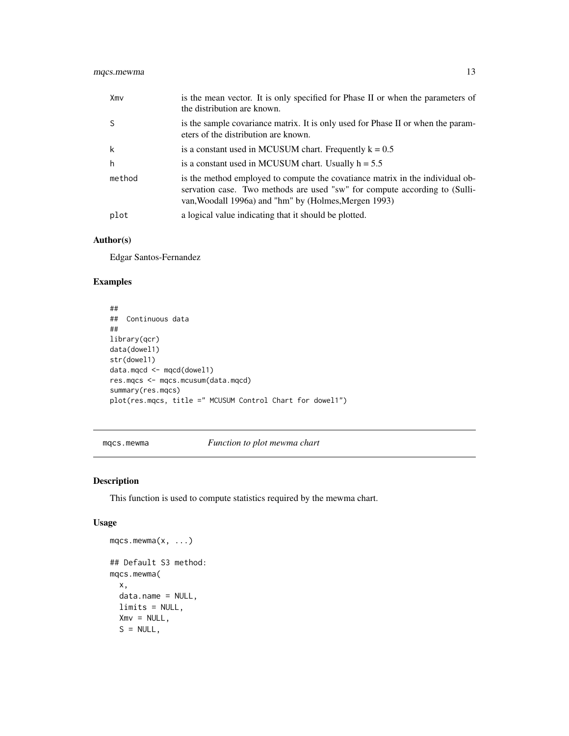<span id="page-12-0"></span>

| Xmv    | is the mean vector. It is only specified for Phase II or when the parameters of<br>the distribution are known.                                                                                                       |
|--------|----------------------------------------------------------------------------------------------------------------------------------------------------------------------------------------------------------------------|
| -S     | is the sample covariance matrix. It is only used for Phase II or when the param-<br>eters of the distribution are known.                                                                                             |
| k      | is a constant used in MCUSUM chart. Frequently $k = 0.5$                                                                                                                                                             |
| h      | is a constant used in MCUSUM chart. Usually $h = 5.5$                                                                                                                                                                |
| method | is the method employed to compute the covariance matrix in the individual ob-<br>servation case. Two methods are used "sw" for compute according to (Sulli-<br>van, Woodall 1996a) and "hm" by (Holmes, Mergen 1993) |
| plot   | a logical value indicating that it should be plotted.                                                                                                                                                                |

#### Author(s)

Edgar Santos-Fernandez

#### Examples

```
##
## Continuous data
##
library(qcr)
data(dowel1)
str(dowel1)
data.mqcd <- mqcd(dowel1)
res.mqcs <- mqcs.mcusum(data.mqcd)
summary(res.mqcs)
plot(res.mqcs, title =" MCUSUM Control Chart for dowel1")
```
mqcs.mewma *Function to plot mewma chart*

#### Description

This function is used to compute statistics required by the mewma chart.

```
mqcs.mewma(x, ...)
## Default S3 method:
mqcs.mewma(
 x,
 data.name = NULL,
 limits = NULL,
 Xmv = NULL,S = NULL,
```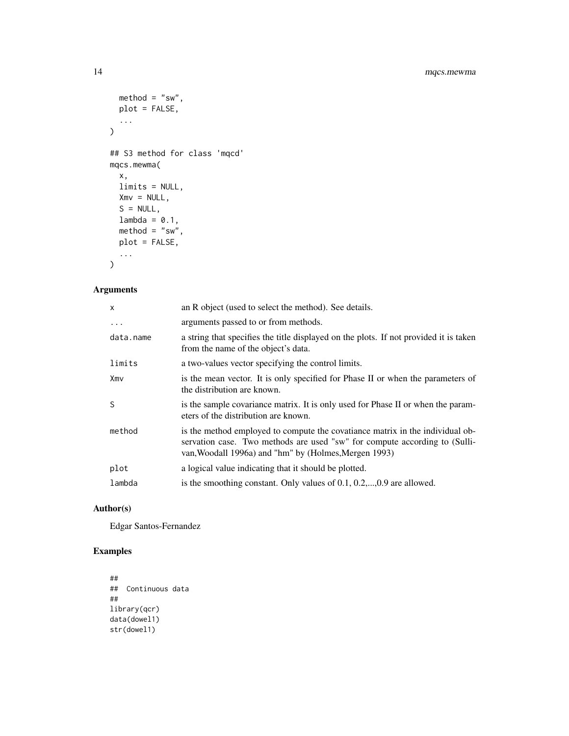```
\text{method} = "sw",plot = FALSE,
  ...
\mathcal{L}## S3 method for class 'mqcd'
mqcs.mewma(
  x,
  limits = NULL,
  Xmv = NULL,S = NULL,lambda = 0.1,
  \text{method} = "sw",plot = FALSE,
  ...
)
```
#### Arguments

| $\mathsf{x}$ | an R object (used to select the method). See details.                                                                                                                                                                |
|--------------|----------------------------------------------------------------------------------------------------------------------------------------------------------------------------------------------------------------------|
| $\cdots$     | arguments passed to or from methods.                                                                                                                                                                                 |
| data.name    | a string that specifies the title displayed on the plots. If not provided it is taken<br>from the name of the object's data.                                                                                         |
| limits       | a two-values vector specifying the control limits.                                                                                                                                                                   |
| Xmv          | is the mean vector. It is only specified for Phase II or when the parameters of<br>the distribution are known.                                                                                                       |
| S            | is the sample covariance matrix. It is only used for Phase II or when the param-<br>eters of the distribution are known.                                                                                             |
| method       | is the method employed to compute the covatiance matrix in the individual ob-<br>servation case. Two methods are used "sw" for compute according to (Sulli-<br>van, Woodall 1996a) and "hm" by (Holmes, Mergen 1993) |
| plot         | a logical value indicating that it should be plotted.                                                                                                                                                                |
| lambda       | is the smoothing constant. Only values of $0.1, 0.2, \ldots, 0.9$ are allowed.                                                                                                                                       |
|              |                                                                                                                                                                                                                      |

#### Author(s)

Edgar Santos-Fernandez

#### Examples

```
##
## Continuous data
##
library(qcr)
data(dowel1)
str(dowel1)
```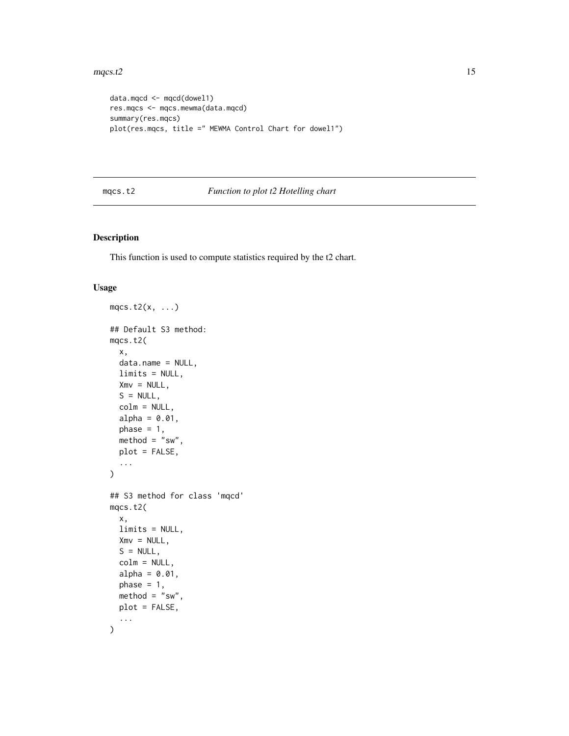#### <span id="page-14-0"></span> $mgcs.t2$  15

```
data.mqcd <- mqcd(dowel1)
res.mqcs <- mqcs.mewma(data.mqcd)
summary(res.mqcs)
plot(res.mqcs, title =" MEWMA Control Chart for dowel1")
```
#### mqcs.t2 *Function to plot t2 Hotelling chart*

#### Description

This function is used to compute statistics required by the t2 chart.

```
mqcs.t2(x, \ldots)## Default S3 method:
mqcs.t2(
 x,
  data.name = NULL,
 limits = NULL,
 Xmv = NULL,
 S = NULL,colm = NULL,
  alpha = 0.01,
 phase = 1,
 \text{method} = "sw",plot = FALSE,
  ...
)
## S3 method for class 'mqcd'
mqcs.t2(
 x,
 limits = NULL,
 Xmv = NULL,S = NULL,colm = NULL,
  alpha = 0.01,
 phase = 1,
 \text{method} = "sw",plot = FALSE,
  ...
\mathcal{L}
```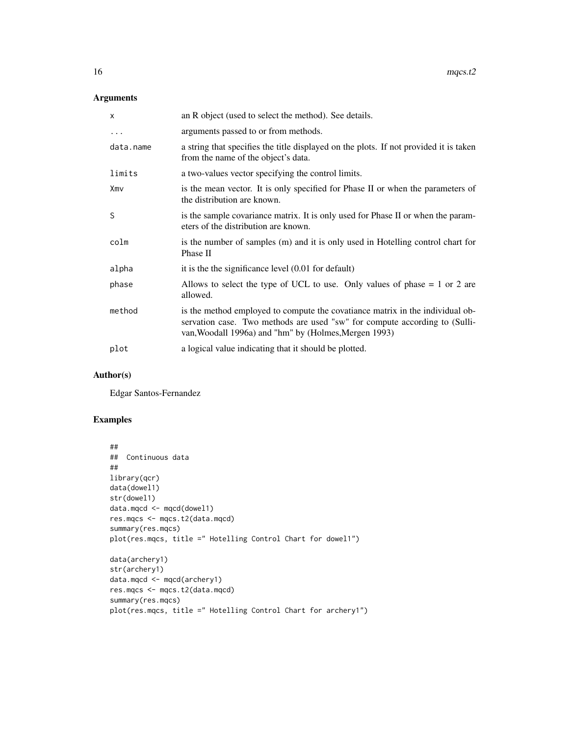#### Arguments

| X         | an R object (used to select the method). See details.                                                                                                                                                                |
|-----------|----------------------------------------------------------------------------------------------------------------------------------------------------------------------------------------------------------------------|
| $\cdots$  | arguments passed to or from methods.                                                                                                                                                                                 |
| data.name | a string that specifies the title displayed on the plots. If not provided it is taken<br>from the name of the object's data.                                                                                         |
| limits    | a two-values vector specifying the control limits.                                                                                                                                                                   |
| Xmv       | is the mean vector. It is only specified for Phase II or when the parameters of<br>the distribution are known.                                                                                                       |
| S         | is the sample covariance matrix. It is only used for Phase II or when the param-<br>eters of the distribution are known.                                                                                             |
| colm      | is the number of samples (m) and it is only used in Hotelling control chart for<br>Phase II                                                                                                                          |
| alpha     | it is the the significance level $(0.01$ for default)                                                                                                                                                                |
| phase     | Allows to select the type of UCL to use. Only values of phase $= 1$ or 2 are<br>allowed.                                                                                                                             |
| method    | is the method employed to compute the covatiance matrix in the individual ob-<br>servation case. Two methods are used "sw" for compute according to (Sulli-<br>van, Woodall 1996a) and "hm" by (Holmes, Mergen 1993) |
| plot      | a logical value indicating that it should be plotted.                                                                                                                                                                |

#### Author(s)

Edgar Santos-Fernandez

### Examples

```
##
## Continuous data
##
library(qcr)
data(dowel1)
str(dowel1)
data.mqcd <- mqcd(dowel1)
res.mqcs <- mqcs.t2(data.mqcd)
summary(res.mqcs)
plot(res.mqcs, title =" Hotelling Control Chart for dowel1")
data(archery1)
str(archery1)
data.mqcd <- mqcd(archery1)
res.mqcs <- mqcs.t2(data.mqcd)
summary(res.mqcs)
plot(res.mqcs, title =" Hotelling Control Chart for archery1")
```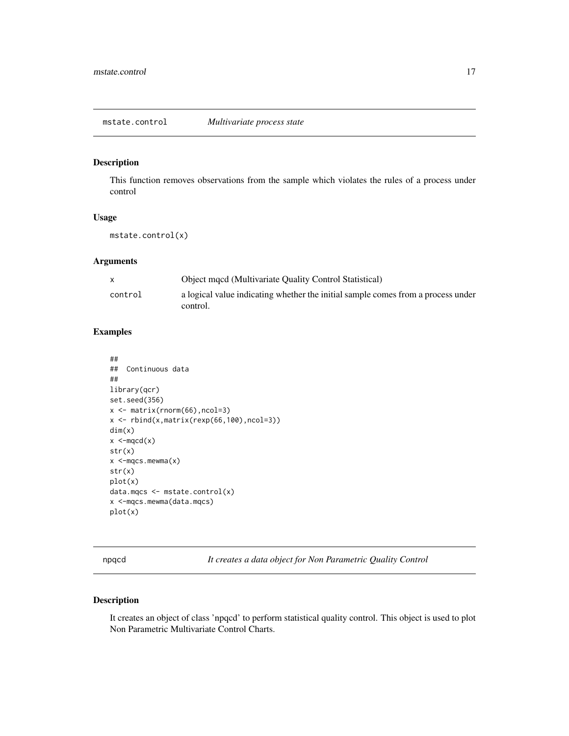<span id="page-16-0"></span>mstate.control *Multivariate process state*

#### Description

This function removes observations from the sample which violates the rules of a process under control

#### Usage

mstate.control(x)

#### Arguments

|         | <b>Object mgcd (Multivariate Quality Control Statistical)</b>                                |
|---------|----------------------------------------------------------------------------------------------|
| control | a logical value indicating whether the initial sample comes from a process under<br>control. |

#### Examples

```
##
## Continuous data
##
library(qcr)
set.seed(356)
x <- matrix(rnorm(66),ncol=3)
x <- rbind(x,matrix(rexp(66,100),ncol=3))
dim(x)
x < -mqcd(x)str(x)
x < -mqcs. mewma(x)str(x)
plot(x)
data.mqcs <- mstate.control(x)
x <-mqcs.mewma(data.mqcs)
plot(x)
```
npqcd *It creates a data object for Non Parametric Quality Control*

### Description

It creates an object of class 'npqcd' to perform statistical quality control. This object is used to plot Non Parametric Multivariate Control Charts.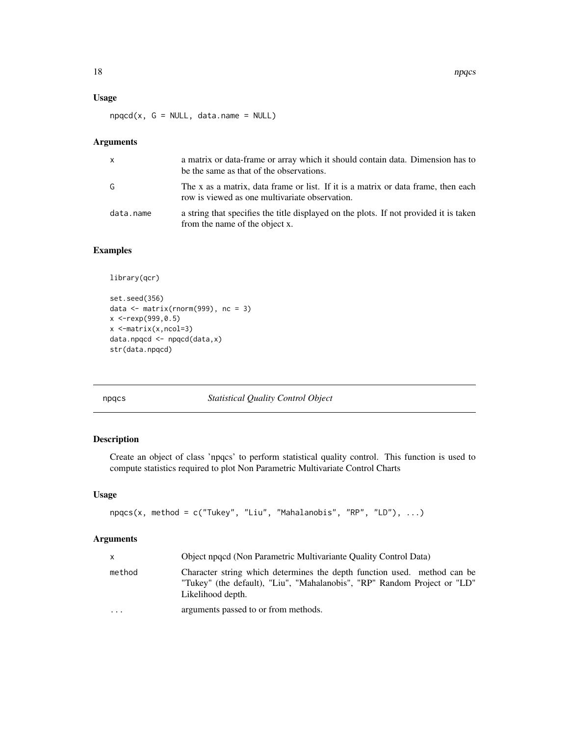#### <span id="page-17-0"></span>Usage

 $npqcd(x, G = NULL, data.name = NULL)$ 

#### Arguments

| X         | a matrix or data-frame or array which it should contain data. Dimension has to<br>be the same as that of the observations.          |
|-----------|-------------------------------------------------------------------------------------------------------------------------------------|
| G         | The x as a matrix, data frame or list. If it is a matrix or data frame, then each<br>row is viewed as one multivariate observation. |
| data.name | a string that specifies the title displayed on the plots. If not provided it is taken<br>from the name of the object x.             |

#### Examples

```
library(qcr)
```

```
set.seed(356)
data \leq matrix(rnorm(999), nc = 3)
x <-rexp(999,0.5)
x <-matrix(x,ncol=3)
data.npqcd <- npqcd(data,x)
str(data.npqcd)
```
npqcs *Statistical Quality Control Object*

#### Description

Create an object of class 'npqcs' to perform statistical quality control. This function is used to compute statistics required to plot Non Parametric Multivariate Control Charts

#### Usage

```
npqcs(x, method = c("Tukey", "Liu", "Mahalanobis", "RP", "LD"), ...)
```

|           | Object npgcd (Non Parametric Multivariante Quality Control Data)                                                                                                          |
|-----------|---------------------------------------------------------------------------------------------------------------------------------------------------------------------------|
| method    | Character string which determines the depth function used. method can be<br>"Tukey" (the default), "Liu", "Mahalanobis", "RP" Random Project or "LD"<br>Likelihood depth. |
| $\ddotsc$ | arguments passed to or from methods.                                                                                                                                      |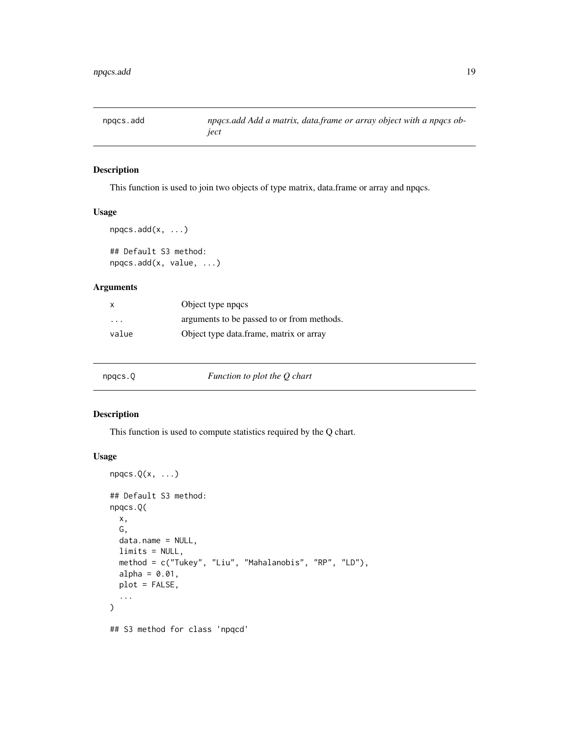<span id="page-18-0"></span>

#### Description

This function is used to join two objects of type matrix, data.frame or array and npqcs.

#### Usage

```
npqcs.add(x, ...)
## Default S3 method:
npqcs.add(x, value, ...)
```
#### Arguments

| X                       | Object type npgcs                          |
|-------------------------|--------------------------------------------|
| $\cdot$ $\cdot$ $\cdot$ | arguments to be passed to or from methods. |
| value                   | Object type data.frame, matrix or array    |

| npqcs.Q | Function to plot the Q chart |  |
|---------|------------------------------|--|
|---------|------------------------------|--|

#### Description

This function is used to compute statistics required by the Q chart.

```
npgcs.Q(x, \ldots)## Default S3 method:
npqcs.Q(
 x,
 G,
 data.name = NULL,
 limits = NULL,
 method = c("Tukey", "Liu", "Mahalanobis", "RP", "LD"),
 alpha = 0.01,
 plot = FALSE,
  ...
)
## S3 method for class 'npqcd'
```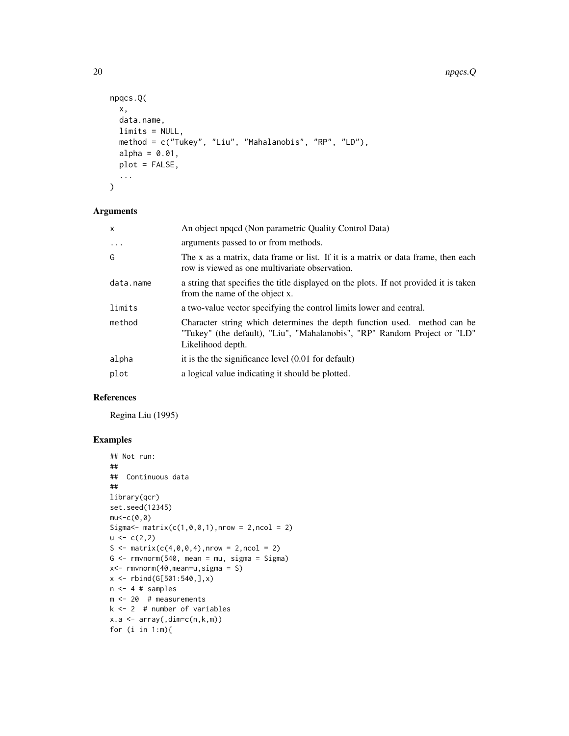```
npqcs.Q(
 x,
 data.name,
 limits = NULL,
 method = c("Tukey", "Liu", "Mahalanobis", "RP", "LD"),
 alpha = 0.01,
 plot = FALSE,
  ...
\mathcal{L}
```
#### Arguments

| $\mathsf{x}$ | An object npqcd (Non parametric Quality Control Data)                                                                                                                     |
|--------------|---------------------------------------------------------------------------------------------------------------------------------------------------------------------------|
| $\cdot$      | arguments passed to or from methods.                                                                                                                                      |
| G            | The x as a matrix, data frame or list. If it is a matrix or data frame, then each<br>row is viewed as one multivariate observation.                                       |
| data.name    | a string that specifies the title displayed on the plots. If not provided it is taken<br>from the name of the object x.                                                   |
| limits       | a two-value vector specifying the control limits lower and central.                                                                                                       |
| method       | Character string which determines the depth function used. method can be<br>"Tukey" (the default), "Liu", "Mahalanobis", "RP" Random Project or "LD"<br>Likelihood depth. |
| alpha        | it is the the significance level $(0.01$ for default)                                                                                                                     |
| plot         | a logical value indicating it should be plotted.                                                                                                                          |

#### References

Regina Liu (1995)

#### Examples

```
## Not run:
##
## Continuous data
##
library(qcr)
set.seed(12345)
mu<-c(\theta,\theta)Sigma <- matrix(c(1, 0, 0, 1), nrow = 2, ncol = 2)u < -c(2,2)S \le matrix(c(4,0,0,4), nrow = 2, ncol = 2)
G \leq -\text{rmvnorm}(540, \text{ mean} = \text{mu}, \text{ sigma} = \text{Sigma})x<- rmvnorm(40,mean=u,sigma = S)
x \le - rbind(G[501:540,],x)
n < -4 # samples
m <- 20 # measurements
k <- 2 # number of variables
x.a \leftarrow array( ,dim=c(n,k,m) )for (i in 1:m){
```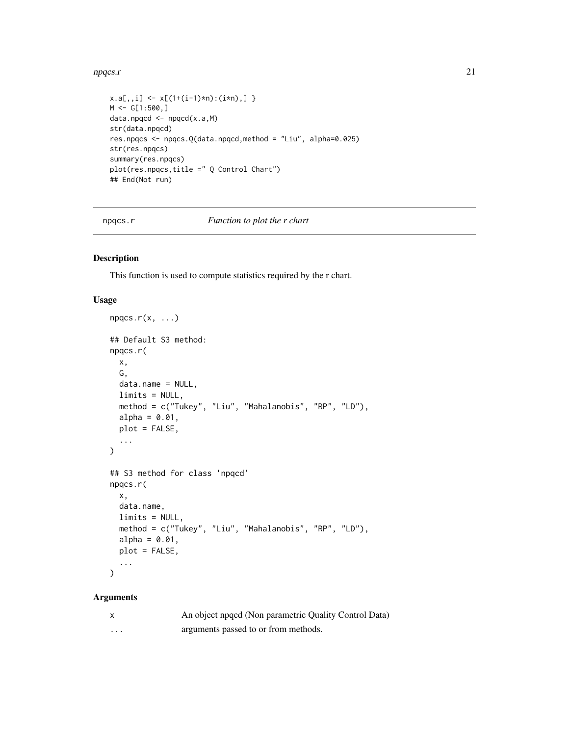#### <span id="page-20-0"></span>npqcs.r 21

```
x.a[,, i] \leq x[(1+(i-1)*n):(i*n),]M < - G[1:500,]
data.npqcd <- npqcd(x.a,M)
str(data.npqcd)
res.npqcs <- npqcs.Q(data.npqcd,method = "Liu", alpha=0.025)
str(res.npqcs)
summary(res.npqcs)
plot(res.npqcs,title =" Q Control Chart")
## End(Not run)
```
npqcs.r *Function to plot the r chart*

#### Description

This function is used to compute statistics required by the r chart.

#### Usage

```
npgcs.r(x, ...)## Default S3 method:
npqcs.r(
 x,
 G,
 data.name = NULL,
 limits = NULL,
 method = c("Tukey", "Liu", "Mahalanobis", "RP", "LD"),
  alpha = 0.01,
 plot = FALSE,
  ...
)
## S3 method for class 'npqcd'
npqcs.r(
 x,
 data.name,
 limits = NULL,
 method = c("Tukey", "Liu", "Mahalanobis", "RP", "LD"),
 alpha = 0.01,
 plot = FALSE,
  ...
\mathcal{L}
```

|   | An object npqcd (Non parametric Quality Control Data) |
|---|-------------------------------------------------------|
| . | arguments passed to or from methods.                  |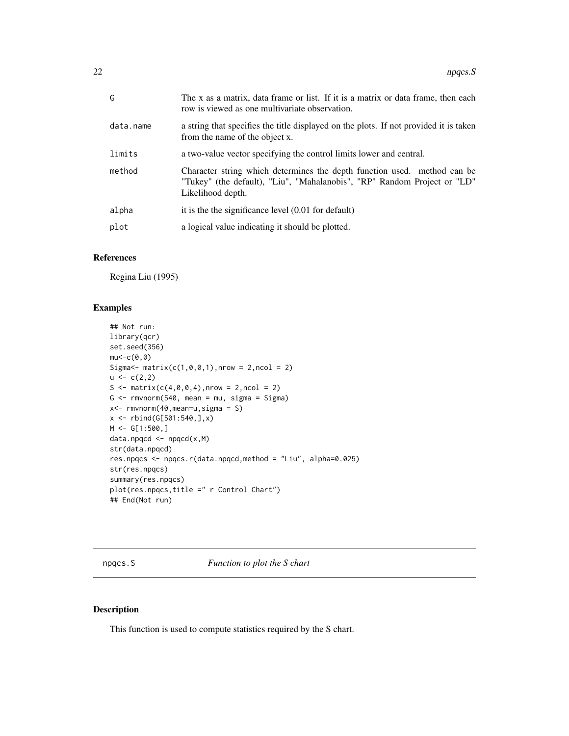<span id="page-21-0"></span>

| G         | The x as a matrix, data frame or list. If it is a matrix or data frame, then each<br>row is viewed as one multivariate observation.                                       |
|-----------|---------------------------------------------------------------------------------------------------------------------------------------------------------------------------|
| data.name | a string that specifies the title displayed on the plots. If not provided it is taken<br>from the name of the object x.                                                   |
| limits    | a two-value vector specifying the control limits lower and central.                                                                                                       |
| method    | Character string which determines the depth function used. method can be<br>"Tukey" (the default), "Liu", "Mahalanobis", "RP" Random Project or "LD"<br>Likelihood depth. |
| alpha     | it is the the significance level $(0.01$ for default)                                                                                                                     |
| plot      | a logical value indicating it should be plotted.                                                                                                                          |
|           |                                                                                                                                                                           |

#### References

Regina Liu (1995)

#### Examples

```
## Not run:
library(qcr)
set.seed(356)
mu<-c(\theta,\theta)Sigma <- matrix(c(1, 0, 0, 1), nrow = 2, ncol = 2)u < -c(2,2)S \leq - matrix(c(4, 0, 0, 4), nrow = 2, ncol = 2)
G \leq -rmvnorm(540, \text{mean} = \text{mu}, \text{sigma} = 5igm)x<- rmvnorm(40,mean=u,sigma = S)
x <- rbind(G[501:540,],x)
M < - G[1:500,]
data.npqcd < -npqcd(x,M)str(data.npqcd)
res.npqcs <- npqcs.r(data.npqcd,method = "Liu", alpha=0.025)
str(res.npqcs)
summary(res.npqcs)
plot(res.npqcs,title =" r Control Chart")
## End(Not run)
```
npqcs.S *Function to plot the S chart*

#### Description

This function is used to compute statistics required by the S chart.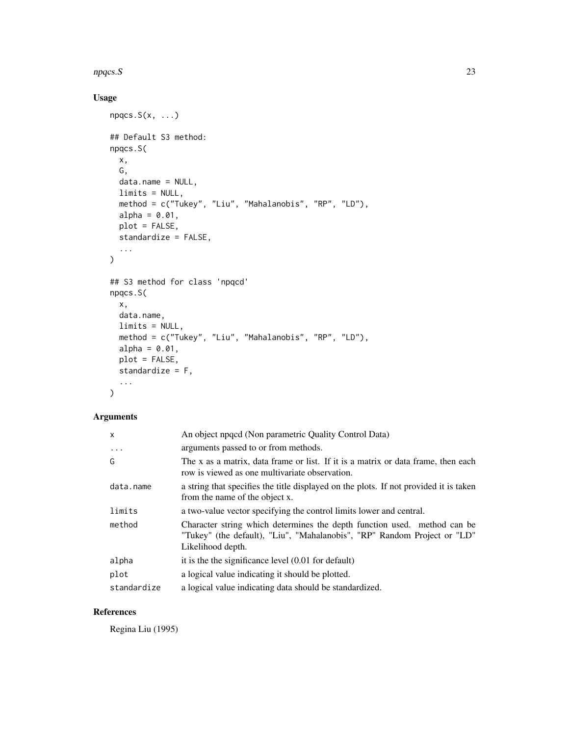#### npqcs.S 23

#### Usage

```
npgcs.S(x, \ldots)## Default S3 method:
npqcs.S(
  x,
  G,
  data.name = NULL,
  limits = NULL,
 method = c("Tukey", "Liu", "Mahalanobis", "RP", "LD"),
  alpha = 0.01,
  plot = FALSE,
  standardize = FALSE,
  ...
\mathcal{L}## S3 method for class 'npqcd'
npqcs.S(
  x,
  data.name,
  limits = NULL,
  method = c("Tukey", "Liu", "Mahalanobis", "RP", "LD"),
  alpha = 0.01,
  plot = FALSE,
  standardize = F,
  ...
\mathcal{L}
```
#### Arguments

| X           | An object npoped (Non parametric Quality Control Data)                                                                                                                    |
|-------------|---------------------------------------------------------------------------------------------------------------------------------------------------------------------------|
| $\ddots$    | arguments passed to or from methods.                                                                                                                                      |
| G           | The x as a matrix, data frame or list. If it is a matrix or data frame, then each<br>row is viewed as one multivariate observation.                                       |
| data.name   | a string that specifies the title displayed on the plots. If not provided it is taken<br>from the name of the object x.                                                   |
| limits      | a two-value vector specifying the control limits lower and central.                                                                                                       |
| method      | Character string which determines the depth function used. method can be<br>"Tukey" (the default), "Liu", "Mahalanobis", "RP" Random Project or "LD"<br>Likelihood depth. |
| alpha       | it is the the significance level $(0.01$ for default)                                                                                                                     |
| plot        | a logical value indicating it should be plotted.                                                                                                                          |
| standardize | a logical value indicating data should be standardized.                                                                                                                   |

#### References

Regina Liu (1995)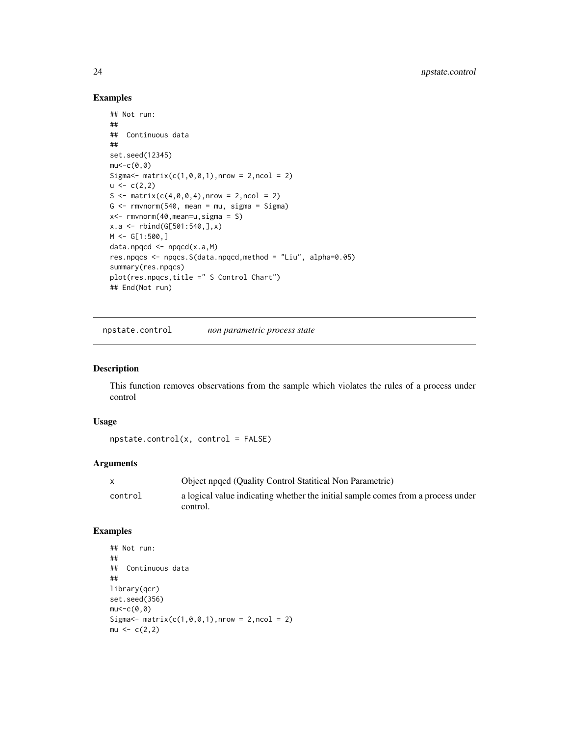#### Examples

```
## Not run:
##
## Continuous data
##
set.seed(12345)
mu < -c(0, 0)Sigma\le matrix(c(1,0,0,1),nrow = 2,ncol = 2)
u \leftarrow c(2,2)S <- matrix(c(4, 0, 0, 4), nrow = 2, ncol = 2)G \leq -\text{rmvnorm}(540, \text{mean} = \text{mu}, \text{sigma} = \text{Sigma})x<- rmvnorm(40,mean=u,sigma = S)
x.a <- rbind(G[501:540,],x)
M < - G[1:500,]
data.npqcd \leftarrow npqcd(x.a,M)res.npqcs <- npqcs.S(data.npqcd,method = "Liu", alpha=0.05)
summary(res.npqcs)
plot(res.npqcs,title =" S Control Chart")
## End(Not run)
```
npstate.control *non parametric process state*

#### Description

This function removes observations from the sample which violates the rules of a process under control

#### Usage

```
npstate.control(x, control = FALSE)
```
#### **Arguments**

|         | Object npqcd (Quality Control Statitical Non Parametric)                                     |
|---------|----------------------------------------------------------------------------------------------|
| control | a logical value indicating whether the initial sample comes from a process under<br>control. |
|         |                                                                                              |

#### Examples

```
## Not run:
##
## Continuous data
##
library(qcr)
set.seed(356)
mu < -c(0, 0)Sigma \text{-} matrix(c(1,0,0,1), nrow = 2, ncol = 2)
mu < -c(2,2)
```
<span id="page-23-0"></span>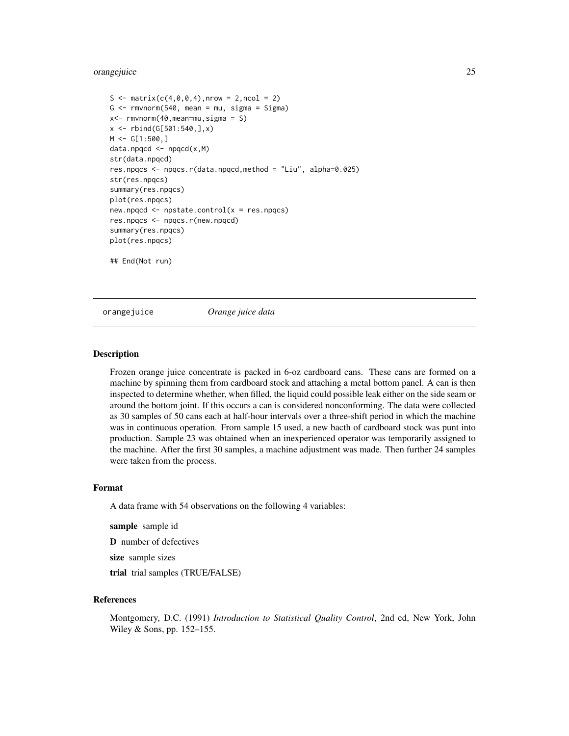#### <span id="page-24-0"></span>orangejuice 25

```
S \leq - matrix(c(4,0,0,4), nrow = 2, ncol = 2)
G \leq -\text{rmvnorm}(540, \text{mean} = \text{mu}, \text{sigma} = \text{Sigma})x<- rmvnorm(40,mean=mu,sigma = S)
x \le - rbind(G[501:540,],x)
M < - G[1:500,]
data.npqcd <- npqcd(x,M)
str(data.npqcd)
res.npqcs <- npqcs.r(data.npqcd,method = "Liu", alpha=0.025)
str(res.npqcs)
summary(res.npqcs)
plot(res.npqcs)
new.npqcd <- npstate.control(x = res.npqcs)
res.npqcs <- npqcs.r(new.npqcd)
summary(res.npqcs)
plot(res.npqcs)
## End(Not run)
```
orangejuice *Orange juice data*

#### **Description**

Frozen orange juice concentrate is packed in 6-oz cardboard cans. These cans are formed on a machine by spinning them from cardboard stock and attaching a metal bottom panel. A can is then inspected to determine whether, when filled, the liquid could possible leak either on the side seam or around the bottom joint. If this occurs a can is considered nonconforming. The data were collected as 30 samples of 50 cans each at half-hour intervals over a three-shift period in which the machine was in continuous operation. From sample 15 used, a new bacth of cardboard stock was punt into production. Sample 23 was obtained when an inexperienced operator was temporarily assigned to the machine. After the first 30 samples, a machine adjustment was made. Then further 24 samples were taken from the process.

#### Format

A data frame with 54 observations on the following 4 variables:

sample sample id

D number of defectives

size sample sizes

trial trial samples (TRUE/FALSE)

#### References

Montgomery, D.C. (1991) *Introduction to Statistical Quality Control*, 2nd ed, New York, John Wiley & Sons, pp. 152–155.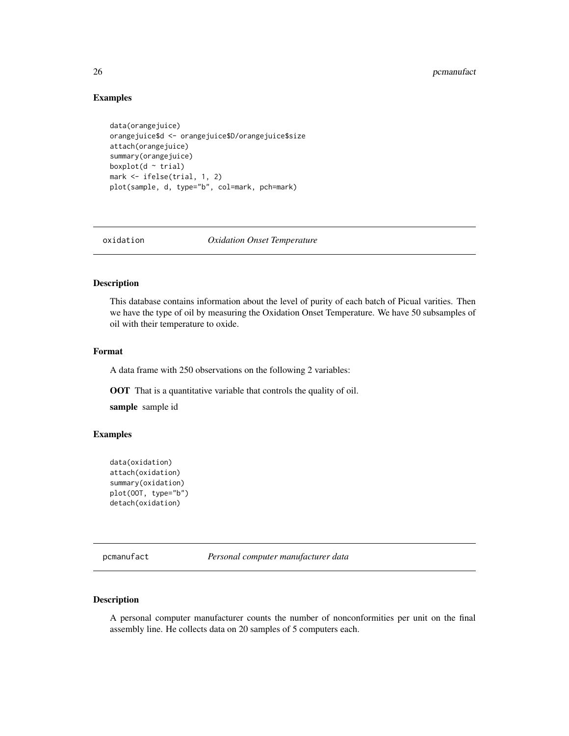#### <span id="page-25-0"></span>Examples

```
data(orangejuice)
orangejuice$d <- orangejuice$D/orangejuice$size
attach(orangejuice)
summary(orangejuice)
boxplot(d \sim \text{trial})
mark <- ifelse(trial, 1, 2)
plot(sample, d, type="b", col=mark, pch=mark)
```
oxidation *Oxidation Onset Temperature*

#### Description

This database contains information about the level of purity of each batch of Picual varities. Then we have the type of oil by measuring the Oxidation Onset Temperature. We have 50 subsamples of oil with their temperature to oxide.

#### Format

A data frame with 250 observations on the following 2 variables:

OOT That is a quantitative variable that controls the quality of oil.

sample sample id

#### Examples

```
data(oxidation)
attach(oxidation)
summary(oxidation)
plot(OOT, type="b")
detach(oxidation)
```
pcmanufact *Personal computer manufacturer data*

#### Description

A personal computer manufacturer counts the number of nonconformities per unit on the final assembly line. He collects data on 20 samples of 5 computers each.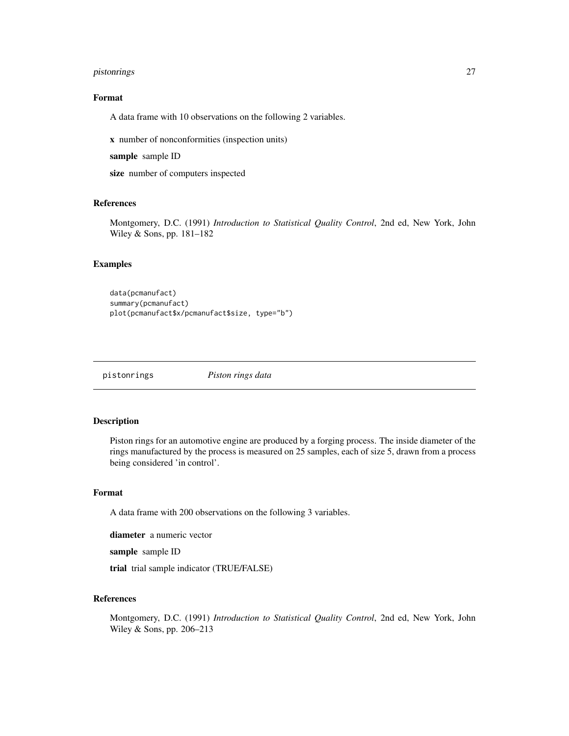#### <span id="page-26-0"></span>pistonrings 27

#### Format

A data frame with 10 observations on the following 2 variables.

x number of nonconformities (inspection units)

sample sample ID

size number of computers inspected

#### References

Montgomery, D.C. (1991) *Introduction to Statistical Quality Control*, 2nd ed, New York, John Wiley & Sons, pp. 181–182

#### Examples

```
data(pcmanufact)
summary(pcmanufact)
plot(pcmanufact$x/pcmanufact$size, type="b")
```
pistonrings *Piston rings data*

#### Description

Piston rings for an automotive engine are produced by a forging process. The inside diameter of the rings manufactured by the process is measured on 25 samples, each of size 5, drawn from a process being considered 'in control'.

#### Format

A data frame with 200 observations on the following 3 variables.

diameter a numeric vector

sample sample ID

trial trial sample indicator (TRUE/FALSE)

#### References

Montgomery, D.C. (1991) *Introduction to Statistical Quality Control*, 2nd ed, New York, John Wiley & Sons, pp. 206–213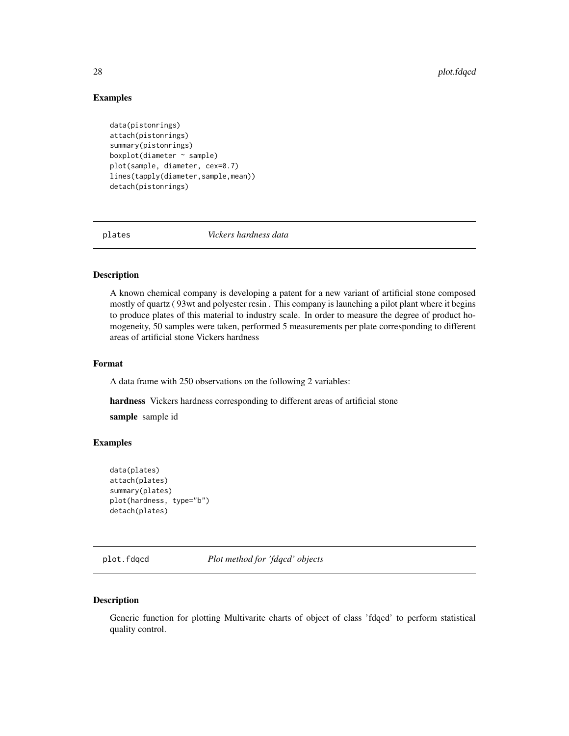#### Examples

```
data(pistonrings)
attach(pistonrings)
summary(pistonrings)
boxplot(diameter ~ sample)
plot(sample, diameter, cex=0.7)
lines(tapply(diameter,sample,mean))
detach(pistonrings)
```
plates *Vickers hardness data*

#### Description

A known chemical company is developing a patent for a new variant of artificial stone composed mostly of quartz ( 93wt and polyester resin . This company is launching a pilot plant where it begins to produce plates of this material to industry scale. In order to measure the degree of product homogeneity, 50 samples were taken, performed 5 measurements per plate corresponding to different areas of artificial stone Vickers hardness

#### Format

A data frame with 250 observations on the following 2 variables:

hardness Vickers hardness corresponding to different areas of artificial stone sample sample id

#### Examples

```
data(plates)
attach(plates)
summary(plates)
plot(hardness, type="b")
detach(plates)
```
plot.fdqcd *Plot method for 'fdqcd' objects*

#### Description

Generic function for plotting Multivarite charts of object of class 'fdqcd' to perform statistical quality control.

<span id="page-27-0"></span>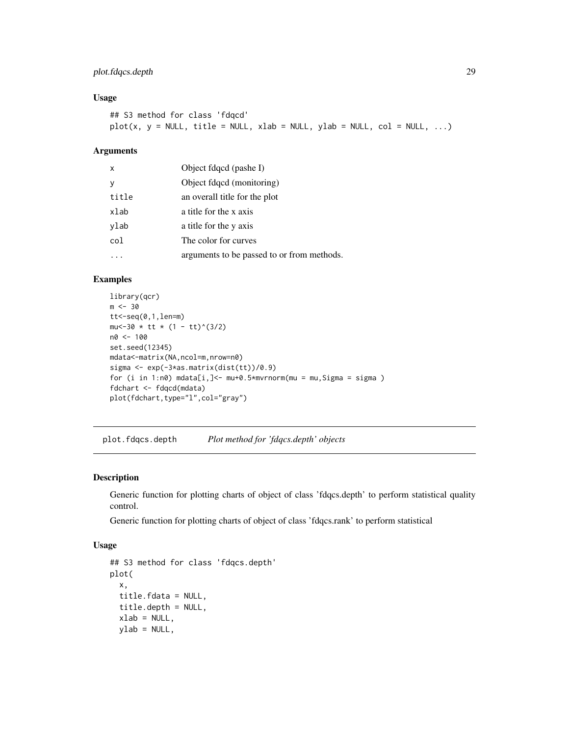#### <span id="page-28-0"></span>plot.fdqcs.depth 29

#### Usage

```
## S3 method for class 'fdqcd'
plot(x, y = NULL, title = NULL, xlab = NULL, ylab = NULL, col = NULL, ...)
```
#### Arguments

| $\mathsf{x}$ | Object fdqcd (pashe I)                     |
|--------------|--------------------------------------------|
| <b>V</b>     | Object fdqcd (monitoring)                  |
| title        | an overall title for the plot              |
| xlab         | a title for the x axis                     |
| ylab         | a title for the y axis                     |
| col          | The color for curves                       |
|              | arguments to be passed to or from methods. |

#### Examples

```
library(qcr)
m < -30tt < -seq(0,1,len=m)mu<-30 \times tt \times (1 - tt)^{\wedge}(3/2)n0 <- 100
set.seed(12345)
mdata<-matrix(NA,ncol=m,nrow=n0)
sigma <- exp(-3*as.matrix(dist(tt))/0.9)
for (i in 1:n\emptyset) mdata[i,] <- mu+0.5*mvrnorm(mu = mu, Sigma = sigma)
fdchart <- fdqcd(mdata)
plot(fdchart,type="l",col="gray")
```
plot.fdqcs.depth *Plot method for 'fdqcs.depth' objects*

#### Description

Generic function for plotting charts of object of class 'fdqcs.depth' to perform statistical quality control.

Generic function for plotting charts of object of class 'fdqcs.rank' to perform statistical

```
## S3 method for class 'fdqcs.depth'
plot(
 x,
  title.fdata = NULL,
  title.depth = NULL,
  xlab = NULL,
 ylab = NULL,
```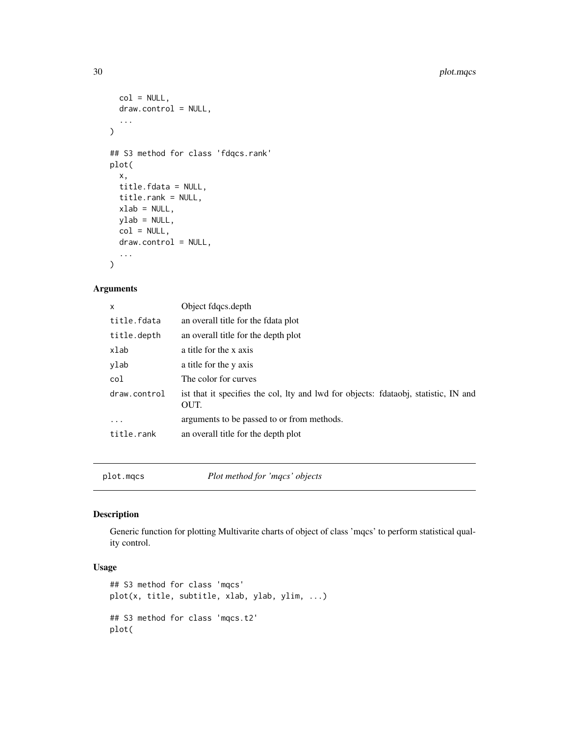```
col = NULL,draw.control = NULL,
  ...
\mathcal{L}## S3 method for class 'fdqcs.rank'
plot(
  x,
  title.fdata = NULL,
 title.rank = NULL,
 xlab = NULL,ylab = NULL,
 col = NULL,draw.control = NULL,...
)
```
#### Arguments

| x            | Object fdqcs.depth                                                                          |
|--------------|---------------------------------------------------------------------------------------------|
| title.fdata  | an overall title for the fdata plot                                                         |
| title.depth  | an overall title for the depth plot                                                         |
| xlab         | a title for the x axis                                                                      |
| ylab         | a title for the y axis                                                                      |
| col          | The color for curves                                                                        |
| draw.control | ist that it specifies the col, lty and lwd for objects: fdataobj, statistic, IN and<br>OUT. |
| $\cdots$     | arguments to be passed to or from methods.                                                  |
| title.rank   | an overall title for the depth plot                                                         |
|              |                                                                                             |

plot.mqcs *Plot method for 'mqcs' objects*

#### Description

Generic function for plotting Multivarite charts of object of class 'mqcs' to perform statistical quality control.

```
## S3 method for class 'mqcs'
plot(x, title, subtitle, xlab, ylab, ylim, ...)
## S3 method for class 'mqcs.t2'
plot(
```
<span id="page-29-0"></span>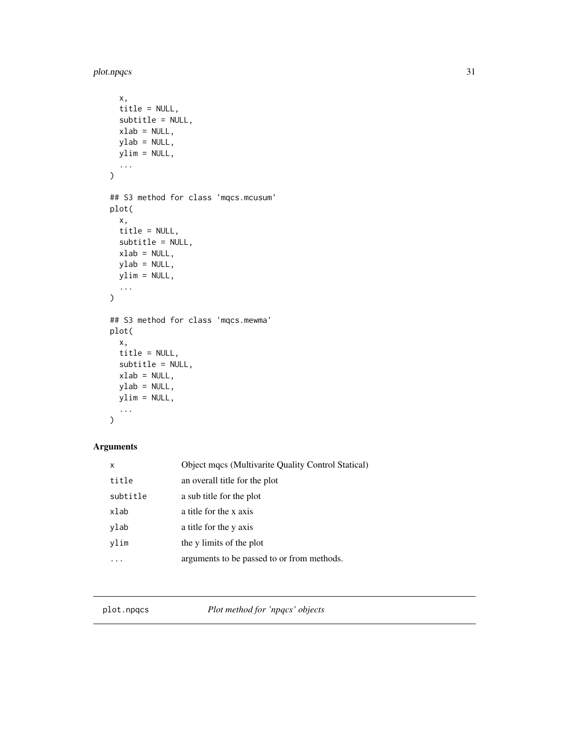<span id="page-30-0"></span>plot.npqcs 31

```
x,
 title = NULL,
 subtitle = NULL,
 xlab = NULL,ylab = NULL,
 ylim = NULL,
  ...
\mathcal{L}## S3 method for class 'mqcs.mcusum'
plot(
 x,
 title = NULL,
 subtitle = NULL,
 xlab = NULL,
 ylab = NULL,
 ylim = NULL,
  ...
\mathcal{L}## S3 method for class 'mqcs.mewma'
plot(
 x,
 title = NULL,
 subtitle = NULL,
 xlab = NULL,
 ylab = NULL,
 ylim = NULL,
  ...
)
```
#### Arguments

| x        | Object mqcs (Multivarite Quality Control Statical) |
|----------|----------------------------------------------------|
| title    | an overall title for the plot                      |
| subtitle | a sub title for the plot                           |
| xlab     | a title for the x axis                             |
| ylab     | a title for the y axis                             |
| vlim     | the y limits of the plot                           |
|          | arguments to be passed to or from methods.         |

plot.npqcs *Plot method for 'npqcs' objects*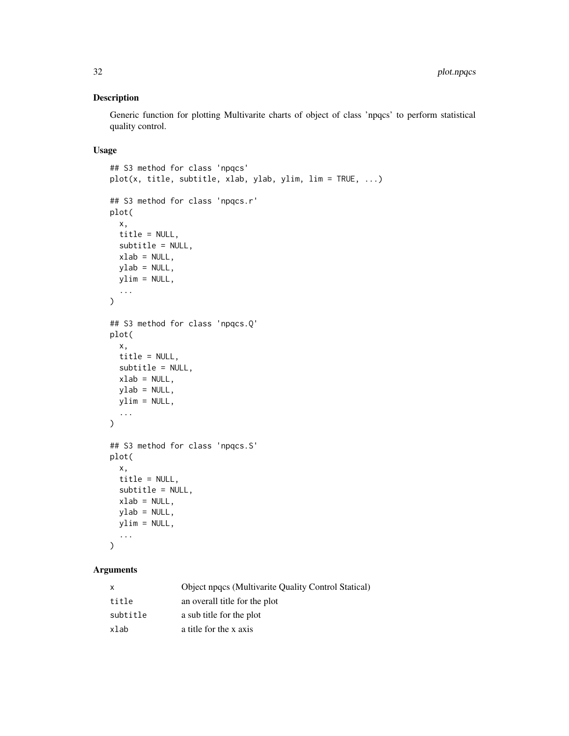#### Description

Generic function for plotting Multivarite charts of object of class 'npqcs' to perform statistical quality control.

#### Usage

```
## S3 method for class 'npqcs'
plot(x, title, subtitle, xlab, ylab, ylim, lim = TRUE, ...)
## S3 method for class 'npqcs.r'
plot(
 x,
  title = NULL,
 subtitle = NULL,
 xlab = NULL,
 ylab = NULL,
 ylim = NULL,
  ...
\mathcal{L}## S3 method for class 'npqcs.Q'
plot(
  x,
 title = NULL,
  subtitle = NULL,
 xlab = NULL,
 ylab = NULL,
 ylim = NULL,
  ...
)
## S3 method for class 'npqcs.S'
plot(
 x,
  title = NULL,
  subtitle = NULL,
 xlab = NULL,
 ylab = NULL,
 ylim = NULL,
  ...
\mathcal{L}
```

| x        | Object npqcs (Multivarite Quality Control Statical) |
|----------|-----------------------------------------------------|
| title    | an overall title for the plot                       |
| subtitle | a sub title for the plot                            |
| xlab     | a title for the x axis                              |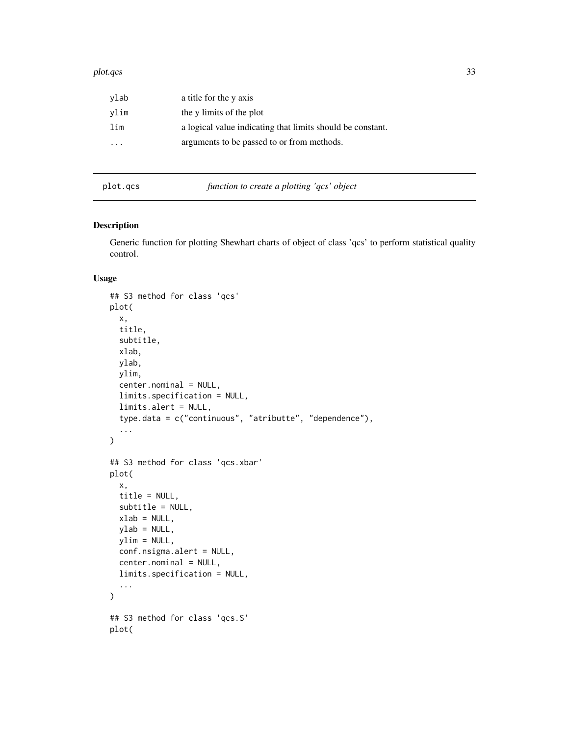#### <span id="page-32-0"></span>plot.qcs 33

| ylab | a title for the y axis                                     |
|------|------------------------------------------------------------|
| vlim | the y limits of the plot                                   |
| lim  | a logical value indicating that limits should be constant. |
| .    | arguments to be passed to or from methods.                 |
|      |                                                            |

plot.qcs *function to create a plotting 'qcs' object*

#### Description

Generic function for plotting Shewhart charts of object of class 'qcs' to perform statistical quality control.

```
## S3 method for class 'qcs'
plot(
  x,
 title,
  subtitle,
 xlab,
 ylab,
 ylim,
  center.nominal = NULL,
 limits.specification = NULL,
  limits.alert = NULL,
  type.data = c("continuous", "atributte", "dependence"),
  ...
)
## S3 method for class 'qcs.xbar'
plot(
  x,
  title = NULL,
  subtitle = NULL,
 xlab = NULL,ylab = NULL,
 ylim = NULL,
  conf.nsigma.alert = NULL,
 center.nominal = NULL,
  limits.specification = NULL,
  ...
\mathcal{L}## S3 method for class 'qcs.S'
plot(
```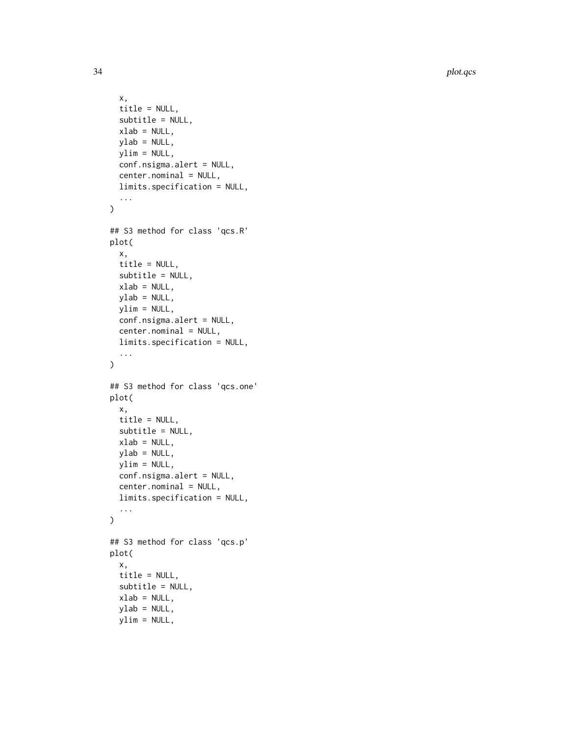34 plot.qcs

```
x,
  title = NULL,
  subtitle = NULL,
 xlab = NULL,
 ylab = NULL,
 ylim = NULL,
  conf.nsigma.alert = NULL,
  center.nominal = NULL,
 limits.specification = NULL,
  ...
\mathcal{L}## S3 method for class 'qcs.R'
plot(
  x,
  title = NULL,
  subtitle = NULL,
 xlab = NULL,
 ylab = NULL,
 vlim = NULL,
  conf.nsigma.alert = NULL,
  center.nominal = NULL,
 limits.specification = NULL,
  ...
\mathcal{L}## S3 method for class 'qcs.one'
plot(
 x,
  title = NULL,
  subtitle = NULL,
 xlab = NULL,ylab = NULL,
 ylim = NULL,
  conf.nsigma.alert = NULL,
  center.nominal = NULL,
  limits.specification = NULL,
  ...
\mathcal{L}## S3 method for class 'qcs.p'
plot(
 x,
 title = NULL,
  subtitle = NULL,
  xlab = NULL,ylab = NULL,
 ylim = NULL,
```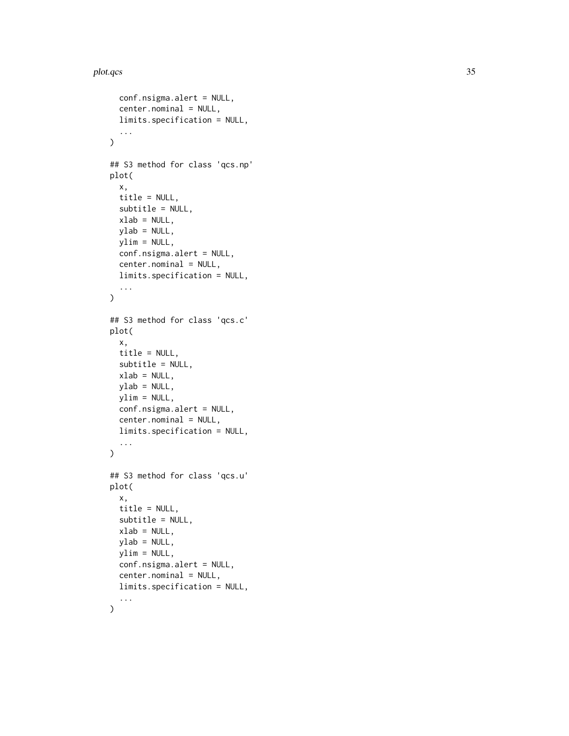#### plot.qcs 35

```
conf.nsigma.alert = NULL,
  center.nominal = NULL,
  limits.specification = NULL,
  ...
\mathcal{L}## S3 method for class 'qcs.np'
plot(
 x,
 title = NULL,
  subtitle = NULL,
 xlab = NULL,
 ylab = NULL,
 ylim = NULL,
 conf.nsigma.alert = NULL,
  center.nominal = NULL,
 limits.specification = NULL,
  ...
\lambda## S3 method for class 'qcs.c'
plot(
 x,
  title = NULL,
  subtitle = NULL,
 xlab = NULL,
 ylab = NULL,
 ylim = NULL,
  conf.nsigma.alert = NULL,
  center.nominal = NULL,
 limits.specification = NULL,
  ...
)
## S3 method for class 'qcs.u'
plot(
 x,
  title = NULL,
  subtitle = NULL,
 xlab = NULL,
 ylab = NULL,
 ylim = NULL,
  conf.nsigma.alert = NULL,
  center.nominal = NULL,
 limits.specification = NULL,
  ...
)
```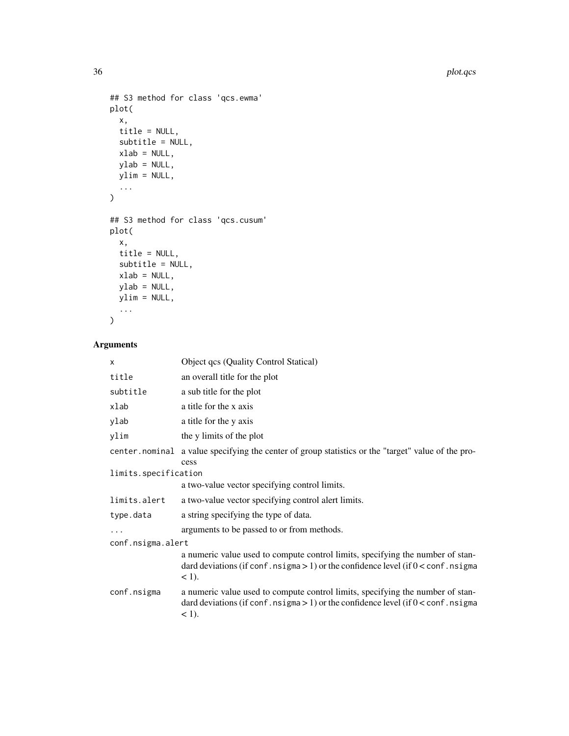```
## S3 method for class 'qcs.ewma'
plot(
  x,
  title = NULL,
  subtitle = NULL,
  xlab = NULL,ylab = NULL,
  ylim = NULL,
  ...
\overline{)}## S3 method for class 'qcs.cusum'
plot(
  x,
  title = NULL,
  subtitle = NULL,
  xlab = NULL,ylab = NULL,
 ylim = NULL,
  ...
\mathcal{L}
```

| X                    | Object qcs (Quality Control Statical)                                                                                                                                                |  |
|----------------------|--------------------------------------------------------------------------------------------------------------------------------------------------------------------------------------|--|
| title                | an overall title for the plot                                                                                                                                                        |  |
| subtitle             | a sub title for the plot                                                                                                                                                             |  |
| xlab                 | a title for the x axis                                                                                                                                                               |  |
| ylab                 | a title for the y axis                                                                                                                                                               |  |
| ylim                 | the y limits of the plot                                                                                                                                                             |  |
|                      | center nominal a value specifying the center of group statistics or the "target" value of the pro-<br>cess                                                                           |  |
| limits.specification |                                                                                                                                                                                      |  |
|                      | a two-value vector specifying control limits.                                                                                                                                        |  |
| limits.alert         | a two-value vector specifying control alert limits.                                                                                                                                  |  |
| type.data            | a string specifying the type of data.                                                                                                                                                |  |
| $\ddotsc$            | arguments to be passed to or from methods.                                                                                                                                           |  |
| conf.nsigma.alert    |                                                                                                                                                                                      |  |
|                      | a numeric value used to compute control limits, specifying the number of stan-<br>dard deviations (if conf. $nsigma > 1$ ) or the confidence level (if $0 <$ conf. nsigma<br>$<$ 1). |  |
| conf.nsigma          | a numeric value used to compute control limits, specifying the number of stan-<br>dard deviations (if conf. nsigma $> 1$ ) or the confidence level (if $0 <$ conf. nsigma<br>$<$ 1). |  |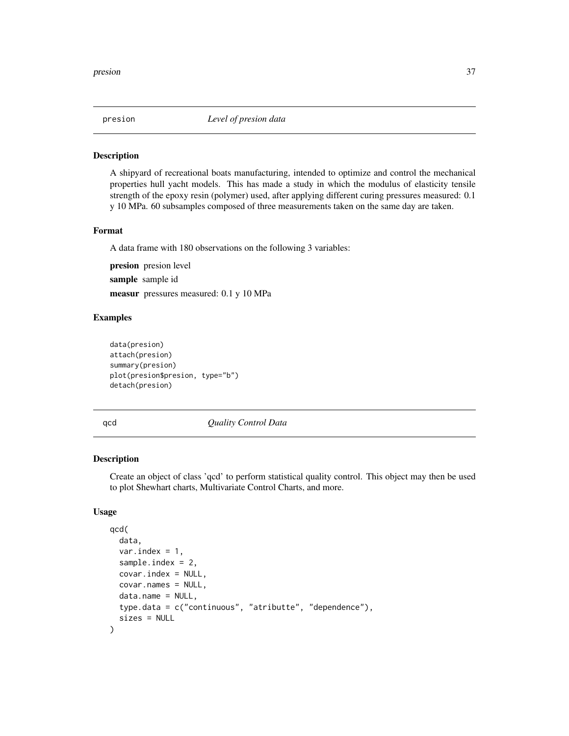<span id="page-36-0"></span>

#### Description

A shipyard of recreational boats manufacturing, intended to optimize and control the mechanical properties hull yacht models. This has made a study in which the modulus of elasticity tensile strength of the epoxy resin (polymer) used, after applying different curing pressures measured: 0.1 y 10 MPa. 60 subsamples composed of three measurements taken on the same day are taken.

#### Format

A data frame with 180 observations on the following 3 variables:

presion presion level sample sample id measur pressures measured: 0.1 y 10 MPa

#### Examples

```
data(presion)
attach(presion)
summary(presion)
plot(presion$presion, type="b")
detach(presion)
```
<span id="page-36-1"></span>qcd *Quality Control Data*

#### Description

Create an object of class 'qcd' to perform statistical quality control. This object may then be used to plot Shewhart charts, Multivariate Control Charts, and more.

```
qcd(
  data,
  var.index = 1,
  sample.index = 2,
  covar.index = NULL,
  covar.names = NULL,
  data.name = NULL,
  type.data = c("continuous", "atributte", "dependence"),
  sizes = NULL
)
```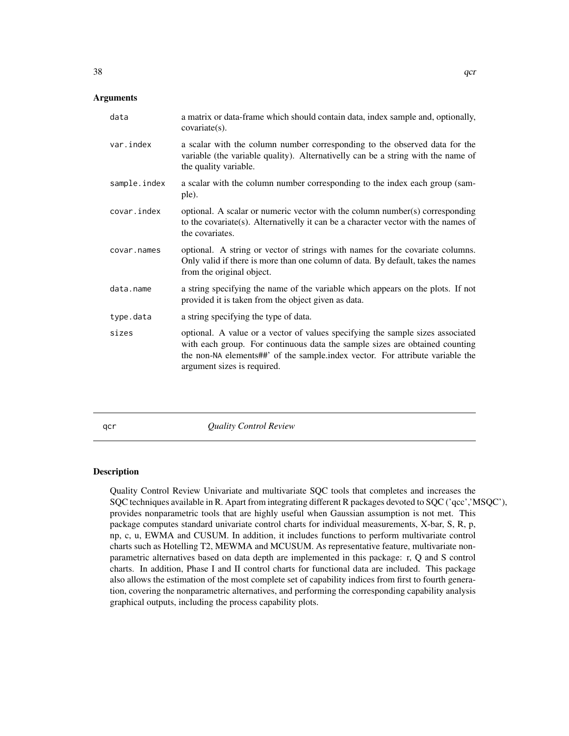<span id="page-37-0"></span>

| data         | a matrix or data-frame which should contain data, index sample and, optionally,<br>$covariate(s)$ .                                                                                                                                                                           |
|--------------|-------------------------------------------------------------------------------------------------------------------------------------------------------------------------------------------------------------------------------------------------------------------------------|
| var.index    | a scalar with the column number corresponding to the observed data for the<br>variable (the variable quality). Alternativelly can be a string with the name of<br>the quality variable.                                                                                       |
| sample.index | a scalar with the column number corresponding to the index each group (sam-<br>ple).                                                                                                                                                                                          |
| covar.index  | optional. A scalar or numeric vector with the column number(s) corresponding<br>to the covariate(s). Alternativelly it can be a character vector with the names of<br>the covariates.                                                                                         |
| covar.names  | optional. A string or vector of strings with names for the covariate columns.<br>Only valid if there is more than one column of data. By default, takes the names<br>from the original object.                                                                                |
| data.name    | a string specifying the name of the variable which appears on the plots. If not<br>provided it is taken from the object given as data.                                                                                                                                        |
| type.data    | a string specifying the type of data.                                                                                                                                                                                                                                         |
| sizes        | optional. A value or a vector of values specifying the sample sizes associated<br>with each group. For continuous data the sample sizes are obtained counting<br>the non-NA elements##' of the sample.index vector. For attribute variable the<br>argument sizes is required. |

qcr *Quality Control Review*

#### Description

Quality Control Review Univariate and multivariate SQC tools that completes and increases the SQC techniques available in R. Apart from integrating different R packages devoted to SQC ('qcc','MSQC'), provides nonparametric tools that are highly useful when Gaussian assumption is not met. This package computes standard univariate control charts for individual measurements, X-bar, S, R, p, np, c, u, EWMA and CUSUM. In addition, it includes functions to perform multivariate control charts such as Hotelling T2, MEWMA and MCUSUM. As representative feature, multivariate nonparametric alternatives based on data depth are implemented in this package: r, Q and S control charts. In addition, Phase I and II control charts for functional data are included. This package also allows the estimation of the most complete set of capability indices from first to fourth generation, covering the nonparametric alternatives, and performing the corresponding capability analysis graphical outputs, including the process capability plots.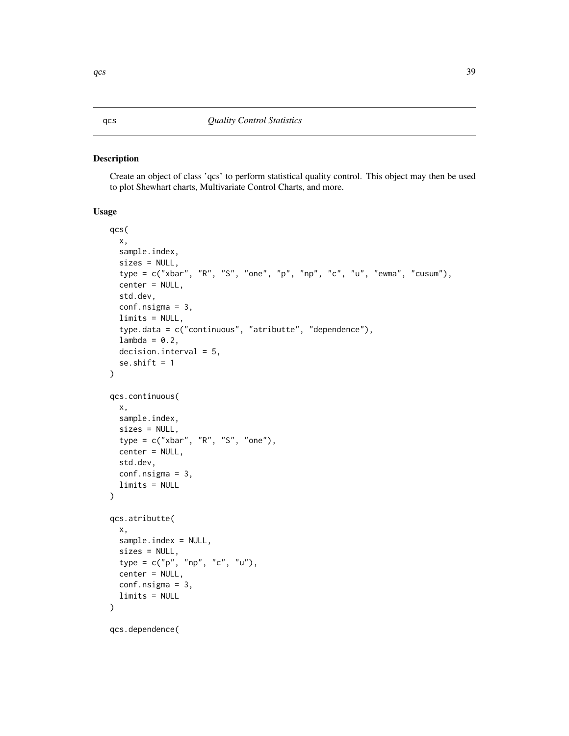#### <span id="page-38-1"></span><span id="page-38-0"></span>Description

Create an object of class 'qcs' to perform statistical quality control. This object may then be used to plot Shewhart charts, Multivariate Control Charts, and more.

```
qcs(
  x,
  sample.index,
 sizes = NULL,
  type = c("xbar", "R", "S", "one", "p", "np", "c", "u", "ewma", "cusum"),
  center = NULL,
  std.dev,
  conf.nsigma = 3,
  limits = NULL,
  type.data = c("continuous", "atributte", "dependence"),
  lambda = 0.2,
  decision.interval = 5,
  se.shift = 1)
qcs.continuous(
  x,
  sample.index,
  sizes = NULL,
  type = c("xbar", "R", "S", "one"),
  center = NULL,
  std.dev,
  conf.nsigma = 3,
  limits = NULL
\mathcal{L}qcs.atributte(
  x,
  sample.index = NULL,
  sizes = NULL,
  type = c("p", "np", "c", "u"),
  center = NULL,
  conf.nsigma = 3,
  limits = NULL
)
qcs.dependence(
```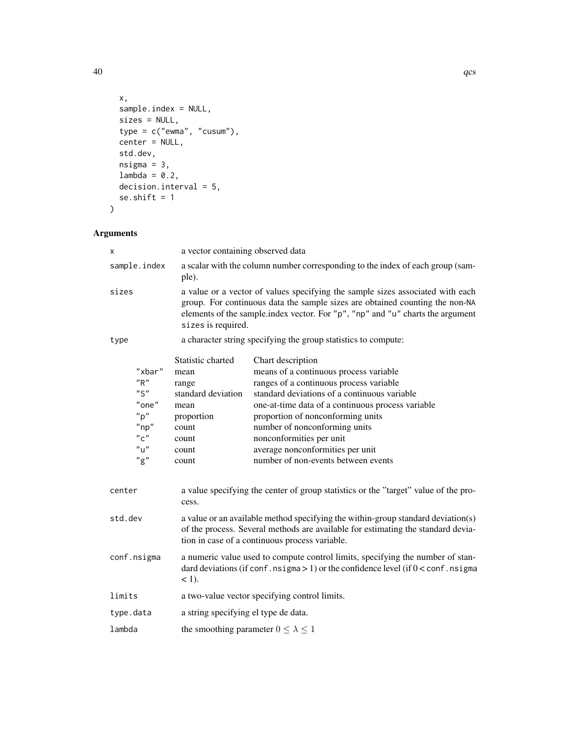```
x,
 sample.index = NULL,
 sizes = NULL,
 type = c("ewma", "cusum"),
 center = NULL,
 std.dev,
 nsigma = 3,lambda = 0.2,
 decision.interval = 5,
 se.shift = 1
)
```

| х         |                                                                                                        | a vector containing observed data                                                                                                                                                                                                                                      |                                                                                                                                                                                                                                                                                                                                                                                          |
|-----------|--------------------------------------------------------------------------------------------------------|------------------------------------------------------------------------------------------------------------------------------------------------------------------------------------------------------------------------------------------------------------------------|------------------------------------------------------------------------------------------------------------------------------------------------------------------------------------------------------------------------------------------------------------------------------------------------------------------------------------------------------------------------------------------|
|           | sample.index                                                                                           | a scalar with the column number corresponding to the index of each group (sam-<br>ple).                                                                                                                                                                                |                                                                                                                                                                                                                                                                                                                                                                                          |
| sizes     |                                                                                                        | a value or a vector of values specifying the sample sizes associated with each<br>group. For continuous data the sample sizes are obtained counting the non-NA<br>elements of the sample index vector. For "p", "np" and "u" charts the argument<br>sizes is required. |                                                                                                                                                                                                                                                                                                                                                                                          |
| type      |                                                                                                        |                                                                                                                                                                                                                                                                        | a character string specifying the group statistics to compute:                                                                                                                                                                                                                                                                                                                           |
|           | "xbar"<br>"R"<br>"S"<br>"one"<br>"p"<br>$"$ np"<br>$^{\prime\prime}$ C $^{\prime\prime}$<br>"u"<br>"g" | Statistic charted<br>mean<br>range<br>standard deviation<br>mean<br>proportion<br>count<br>count<br>count<br>count                                                                                                                                                     | Chart description<br>means of a continuous process variable<br>ranges of a continuous process variable<br>standard deviations of a continuous variable<br>one-at-time data of a continuous process variable<br>proportion of nonconforming units<br>number of nonconforming units<br>nonconformities per unit<br>average nonconformities per unit<br>number of non-events between events |
| center    |                                                                                                        | cess.                                                                                                                                                                                                                                                                  | a value specifying the center of group statistics or the "target" value of the pro-                                                                                                                                                                                                                                                                                                      |
| std.dev   |                                                                                                        |                                                                                                                                                                                                                                                                        | a value or an available method specifying the within-group standard deviation(s)<br>of the process. Several methods are available for estimating the standard devia-<br>tion in case of a continuous process variable.                                                                                                                                                                   |
|           | conf.nsigma                                                                                            | $<$ 1).                                                                                                                                                                                                                                                                | a numeric value used to compute control limits, specifying the number of stan-<br>dard deviations (if conf. nsigma $> 1$ ) or the confidence level (if $0 <$ conf. nsigma                                                                                                                                                                                                                |
| limits    |                                                                                                        |                                                                                                                                                                                                                                                                        | a two-value vector specifying control limits.                                                                                                                                                                                                                                                                                                                                            |
| type.data |                                                                                                        | a string specifying el type de data.                                                                                                                                                                                                                                   |                                                                                                                                                                                                                                                                                                                                                                                          |
| lambda    |                                                                                                        | the smoothing parameter $0 \leq \lambda \leq 1$                                                                                                                                                                                                                        |                                                                                                                                                                                                                                                                                                                                                                                          |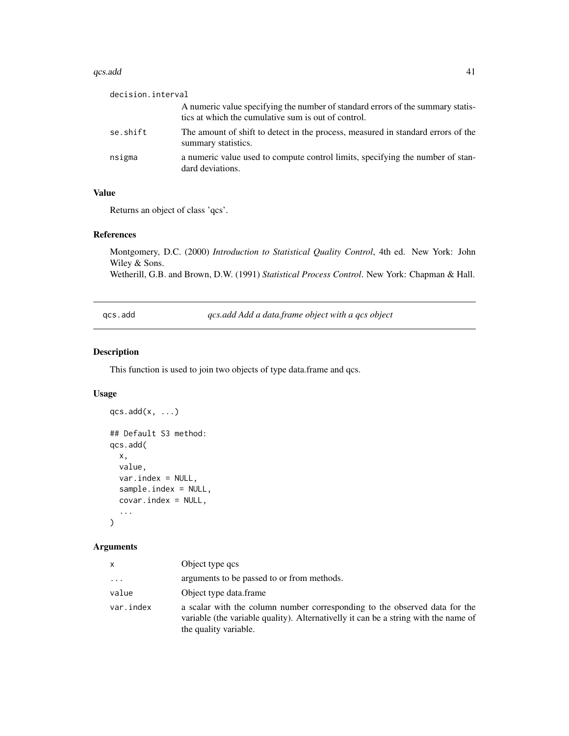#### <span id="page-40-0"></span> $qcs.add$  41

| decision.interval |                                                                                                                                        |
|-------------------|----------------------------------------------------------------------------------------------------------------------------------------|
|                   | A numeric value specifying the number of standard errors of the summary statis-<br>tics at which the cumulative sum is out of control. |
| se.shift          | The amount of shift to detect in the process, measured in standard errors of the<br>summary statistics.                                |
| nsigma            | a numeric value used to compute control limits, specifying the number of stan-<br>dard deviations.                                     |

#### Value

Returns an object of class 'qcs'.

#### References

Montgomery, D.C. (2000) *Introduction to Statistical Quality Control*, 4th ed. New York: John Wiley & Sons.

Wetherill, G.B. and Brown, D.W. (1991) *Statistical Process Control*. New York: Chapman & Hall.

qcs.add *qcs.add Add a data.frame object with a qcs object*

#### Description

This function is used to join two objects of type data.frame and qcs.

#### Usage

```
qcs.add(x, \ldots)## Default S3 method:
qcs.add(
  x,
  value,
  var.index = NULL,
  sample.index = NULL,
  covar.index = NULL,
  ...
\mathcal{L}
```

| x         | Object type gcs                                                                                                                                                                            |
|-----------|--------------------------------------------------------------------------------------------------------------------------------------------------------------------------------------------|
| $\cdots$  | arguments to be passed to or from methods.                                                                                                                                                 |
| value     | Object type data.frame                                                                                                                                                                     |
| var.index | a scalar with the column number corresponding to the observed data for the<br>variable (the variable quality). Alternativelly it can be a string with the name of<br>the quality variable. |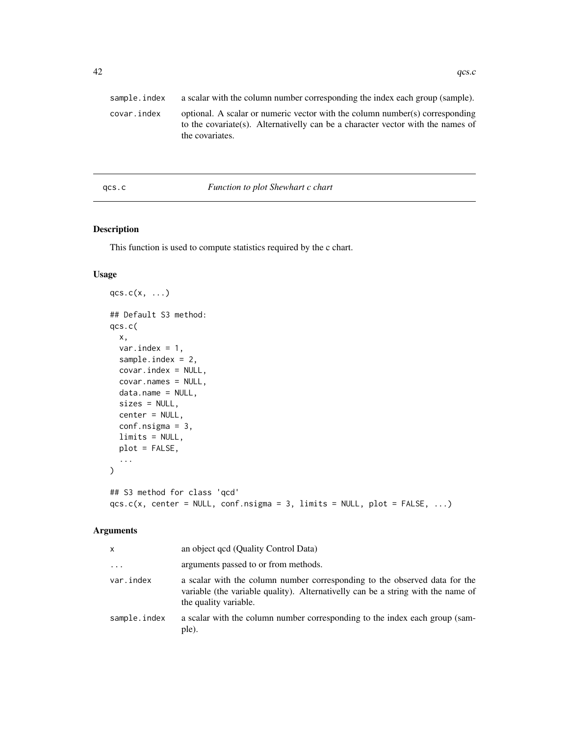<span id="page-41-0"></span>

| sample.index | a scalar with the column number corresponding the index each group (sample).                                                                                                       |
|--------------|------------------------------------------------------------------------------------------------------------------------------------------------------------------------------------|
| covar.index  | optional. A scalar or numeric vector with the column number(s) corresponding<br>to the covariate(s). Alternativelly can be a character vector with the names of<br>the covariates. |
|              |                                                                                                                                                                                    |

#### qcs.c *Function to plot Shewhart c chart*

#### Description

This function is used to compute statistics required by the c chart.

#### Usage

```
qcs.c(x, \ldots)## Default S3 method:
qcs.c(
 x,
 var.index = 1,
 sample.index = 2,
 covar.index = NULL,
  covar.names = NULL,
 data.name = NULL,
 sizes = NULL,
 center = NULL,
 conf.nsigma = 3,
 limits = NULL,
 plot = FALSE,
  ...
)
## S3 method for class 'qcd'
qcs.c(x, center = NULL, conf.nsigma = 3, limits = NULL, plot = FALSE, ...)
```

| x            | an object qcd (Quality Control Data)                                                                                                                                                    |
|--------------|-----------------------------------------------------------------------------------------------------------------------------------------------------------------------------------------|
| $\cdots$     | arguments passed to or from methods.                                                                                                                                                    |
| var.index    | a scalar with the column number corresponding to the observed data for the<br>variable (the variable quality). Alternativelly can be a string with the name of<br>the quality variable. |
| sample.index | a scalar with the column number corresponding to the index each group (sam-<br>ple).                                                                                                    |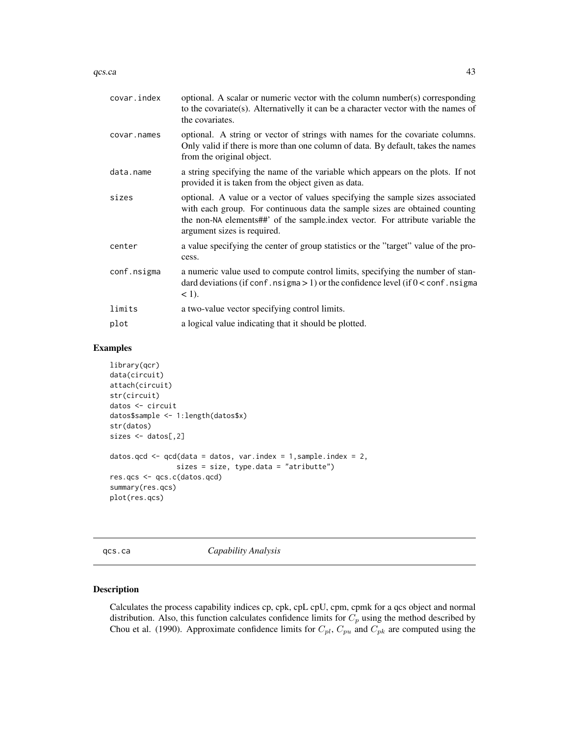#### <span id="page-42-0"></span> $q$ cs.ca  $\qquad \qquad \qquad$  43

| covar.index | optional. A scalar or numeric vector with the column number(s) corresponding<br>to the covariate(s). Alternativelly it can be a character vector with the names of<br>the covariates.                                                                                         |
|-------------|-------------------------------------------------------------------------------------------------------------------------------------------------------------------------------------------------------------------------------------------------------------------------------|
| covar.names | optional. A string or vector of strings with names for the covariate columns.<br>Only valid if there is more than one column of data. By default, takes the names<br>from the original object.                                                                                |
| data.name   | a string specifying the name of the variable which appears on the plots. If not<br>provided it is taken from the object given as data.                                                                                                                                        |
| sizes       | optional. A value or a vector of values specifying the sample sizes associated<br>with each group. For continuous data the sample sizes are obtained counting<br>the non-NA elements##' of the sample.index vector. For attribute variable the<br>argument sizes is required. |
| center      | a value specifying the center of group statistics or the "target" value of the pro-<br>cess.                                                                                                                                                                                  |
| conf.nsigma | a numeric value used to compute control limits, specifying the number of stan-<br>dard deviations (if conf. nsigma $> 1$ ) or the confidence level (if $0 <$ conf. nsigma<br>$<$ 1).                                                                                          |
| limits      | a two-value vector specifying control limits.                                                                                                                                                                                                                                 |
| plot        | a logical value indicating that it should be plotted.                                                                                                                                                                                                                         |

#### Examples

```
library(qcr)
data(circuit)
attach(circuit)
str(circuit)
datos <- circuit
datos$sample <- 1:length(datos$x)
str(datos)
sizes <- datos[,2]
datos.qcd \leq qcd(data = datos, var.index = 1, sample.index = 2,
                sizes = size, type.data = "atributte")
res.qcs <- qcs.c(datos.qcd)
summary(res.qcs)
plot(res.qcs)
```
qcs.ca *Capability Analysis*

#### Description

Calculates the process capability indices cp, cpk, cpL cpU, cpm, cpmk for a qcs object and normal distribution. Also, this function calculates confidence limits for  $C_p$  using the method described by Chou et al. (1990). Approximate confidence limits for  $C_{pl}$ ,  $C_{pu}$  and  $C_{pk}$  are computed using the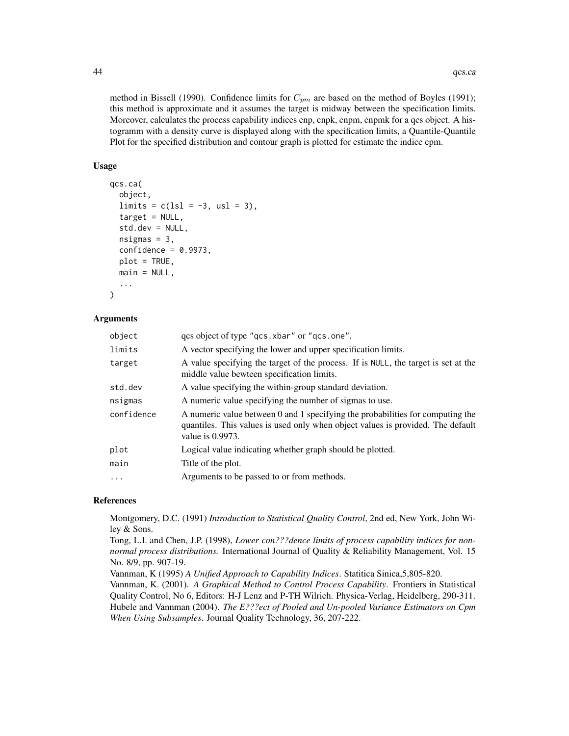method in Bissell (1990). Confidence limits for  $C_{pm}$  are based on the method of Boyles (1991); this method is approximate and it assumes the target is midway between the specification limits. Moreover, calculates the process capability indices cnp, cnpk, cnpm, cnpmk for a gcs object. A histogramm with a density curve is displayed along with the specification limits, a Quantile-Quantile Plot for the specified distribution and contour graph is plotted for estimate the indice cpm.

#### Usage

```
qcs.ca(
  object,
  \lim{its} = c(lsl = -3, usl = 3),target = NULL,std.dev = NULL,
  nsigma = 3,
  confidence = 0.9973,
  plot = TRUE,
 main = NULL,
  ...
)
```
#### Arguments

| object     | qcs object of type "qcs.xbar" or "qcs.one".                                                                                                                                              |
|------------|------------------------------------------------------------------------------------------------------------------------------------------------------------------------------------------|
| limits     | A vector specifying the lower and upper specification limits.                                                                                                                            |
| target     | A value specifying the target of the process. If is NULL, the target is set at the<br>middle value bewteen specification limits.                                                         |
| std.dev    | A value specifying the within-group standard deviation.                                                                                                                                  |
| nsigmas    | A numeric value specifying the number of sigmas to use.                                                                                                                                  |
| confidence | A numeric value between 0 and 1 specifying the probabilities for computing the<br>quantiles. This values is used only when object values is provided. The default<br>value is $0.9973$ . |
| plot       | Logical value indicating whether graph should be plotted.                                                                                                                                |
| main       | Title of the plot.                                                                                                                                                                       |
| .          | Arguments to be passed to or from methods.                                                                                                                                               |
|            |                                                                                                                                                                                          |

#### References

Montgomery, D.C. (1991) *Introduction to Statistical Quality Control*, 2nd ed, New York, John Wiley & Sons.

Tong, L.I. and Chen, J.P. (1998), *Lower con???dence limits of process capability indices for nonnormal process distributions.* International Journal of Quality & Reliability Management, Vol. 15 No. 8/9, pp. 907-19.

Vannman, K (1995) *A Unified Approach to Capability Indices*. Statitica Sinica,5,805-820.

Vannman, K. (2001). *A Graphical Method to Control Process Capability*. Frontiers in Statistical Quality Control, No 6, Editors: H-J Lenz and P-TH Wilrich. Physica-Verlag, Heidelberg, 290-311. Hubele and Vannman (2004). *The E???ect of Pooled and Un-pooled Variance Estimators on Cpm When Using Subsamples*. Journal Quality Technology, 36, 207-222.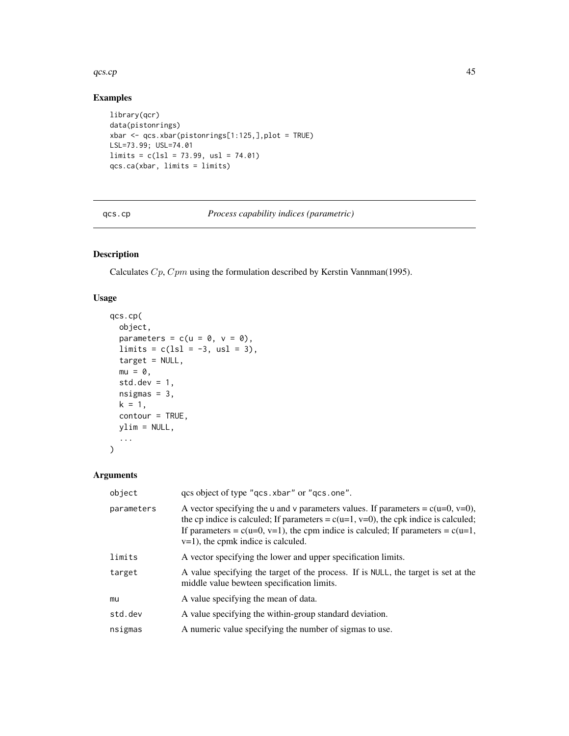#### <span id="page-44-0"></span>qcs.cp 45

#### Examples

```
library(qcr)
data(pistonrings)
xbar <- qcs.xbar(pistonrings[1:125,],plot = TRUE)
LSL=73.99; USL=74.01
limits = c(1s1 = 73.99, us1 = 74.01)qcs.ca(xbar, limits = limits)
```
qcs.cp *Process capability indices (parametric)*

#### Description

Calculates Cp, Cpm using the formulation described by Kerstin Vannman(1995).

#### Usage

```
qcs.cp(
 object,
 parameters = c(u = 0, v = 0),
 limits = c(1s1 = -3, us1 = 3),target = NULL,mu = 0,
  std.dev = 1,
 nsigmas = 3,
 k = 1,
  contour = TRUE,
 ylim = NULL,
  ...
)
```

| object     | qcs object of type "qcs.xbar" or "qcs.one".                                                                                                                                                                                                                                                                  |
|------------|--------------------------------------------------------------------------------------------------------------------------------------------------------------------------------------------------------------------------------------------------------------------------------------------------------------|
| parameters | A vector specifying the u and v parameters values. If parameters = $c(u=0, v=0)$ ,<br>the cp indice is calculed; If parameters = $c(u=1, v=0)$ , the cpk indice is calculed;<br>If parameters = $c(u=0, v=1)$ , the cpm indice is calculed; If parameters = $c(u=1,$<br>$v=1$ , the cpmk indice is calculed. |
| limits     | A vector specifying the lower and upper specification limits.                                                                                                                                                                                                                                                |
| target     | A value specifying the target of the process. If is NULL, the target is set at the<br>middle value bewteen specification limits.                                                                                                                                                                             |
| mu         | A value specifying the mean of data.                                                                                                                                                                                                                                                                         |
| std.dev    | A value specifying the within-group standard deviation.                                                                                                                                                                                                                                                      |
| nsigmas    | A numeric value specifying the number of sigmas to use.                                                                                                                                                                                                                                                      |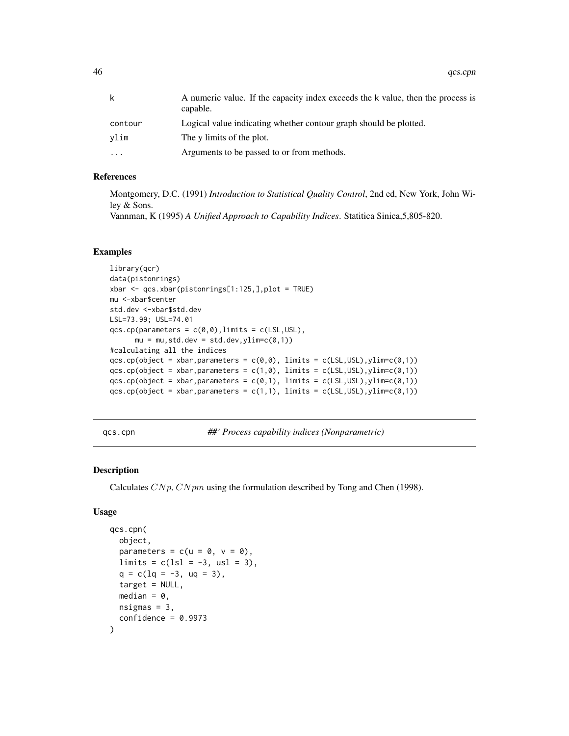<span id="page-45-0"></span>46 qcs.cpn and a set of the control of the control of the control of the control of the control of the control of the control of the control of the control of the control of the control of the control of the control of the

| k         | A numeric value. If the capacity index exceeds the k value, then the process is<br>capable. |
|-----------|---------------------------------------------------------------------------------------------|
| contour   | Logical value indicating whether contour graph should be plotted.                           |
| vlim      | The y limits of the plot.                                                                   |
| $\ddotsc$ | Arguments to be passed to or from methods.                                                  |

#### References

Montgomery, D.C. (1991) *Introduction to Statistical Quality Control*, 2nd ed, New York, John Wiley & Sons.

Vannman, K (1995) *A Unified Approach to Capability Indices*. Statitica Sinica,5,805-820.

#### Examples

```
library(qcr)
data(pistonrings)
xbar <- qcs.xbar(pistonrings[1:125,],plot = TRUE)
mu <-xbar$center
std.dev <-xbar$std.dev
LSL=73.99; USL=74.01
qcs.cp(parameters = c(0,0), limits = c(LSL,USL),mu = mu, std. dev = std. dev, ylim=c(0,1))#calculating all the indices
qcs.cp(object = xbar,parameters = c(\emptyset, \emptyset), limits = c(LSL, USL), ylim=c(\emptyset, 1))
qcs.cp(object = xbar,parameters = c(1,0), limits = c(LSL,USL), ylim=c(0,1))
qcs.cp(object = xbar, parameters = c(0,1), limits = c(LSL,USL), ylim=c(0,1))qcs.cp(object = xbar, parameters = c(1,1), limits = c(LSL, USL), ylim=c(0,1))
```
qcs.cpn *##' Process capability indices (Nonparametric)*

#### Description

Calculates  $C N p$ ,  $C N p m$  using the formulation described by Tong and Chen (1998).

```
qcs.cpn(
 object,
 parameters = c(u = 0, v = 0),
 limits = c(ls1 = -3, us1 = 3),q = c(1q = -3, uq = 3),
 target = NULL,
 median = 0,
 nsigma = 3,
  confidence = 0.9973)
```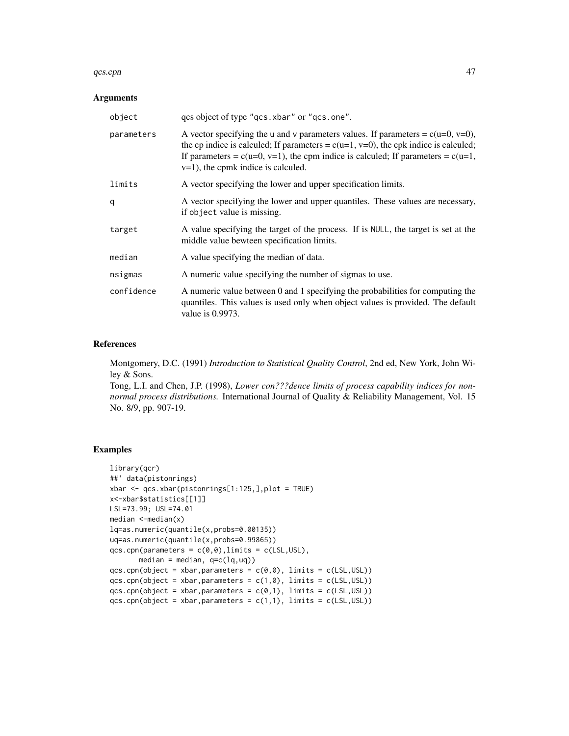#### qcs.cpn 47

#### Arguments

| object     | qcs object of type "qcs.xbar" or "qcs.one".                                                                                                                                                                                                                                                                  |
|------------|--------------------------------------------------------------------------------------------------------------------------------------------------------------------------------------------------------------------------------------------------------------------------------------------------------------|
| parameters | A vector specifying the u and v parameters values. If parameters = $c(u=0, v=0)$ ,<br>the cp indice is calculed; If parameters = $c(u=1, v=0)$ , the cpk indice is calculed;<br>If parameters = $c(u=0, v=1)$ , the cpm indice is calculed; If parameters = $c(u=1,$<br>$v=1$ , the cpmk indice is calculed. |
| limits     | A vector specifying the lower and upper specification limits.                                                                                                                                                                                                                                                |
| q          | A vector specifying the lower and upper quantiles. These values are necessary,<br>if object value is missing.                                                                                                                                                                                                |
| target     | A value specifying the target of the process. If is NULL, the target is set at the<br>middle value bewteen specification limits.                                                                                                                                                                             |
| median     | A value specifying the median of data.                                                                                                                                                                                                                                                                       |
| nsigmas    | A numeric value specifying the number of sigmas to use.                                                                                                                                                                                                                                                      |
| confidence | A numeric value between 0 and 1 specifying the probabilities for computing the<br>quantiles. This values is used only when object values is provided. The default<br>value is $0.9973$ .                                                                                                                     |

#### References

Montgomery, D.C. (1991) *Introduction to Statistical Quality Control*, 2nd ed, New York, John Wiley & Sons.

Tong, L.I. and Chen, J.P. (1998), *Lower con???dence limits of process capability indices for nonnormal process distributions.* International Journal of Quality & Reliability Management, Vol. 15 No. 8/9, pp. 907-19.

#### Examples

```
library(qcr)
##' data(pistonrings)
xbar \leq qcs.xbar(pistonrings[1:125,],plot = TRUE)
x<-xbar$statistics[[1]]
LSL=73.99; USL=74.01
median <-median(x)
lq=as.numeric(quantile(x,probs=0.00135))
uq=as.numeric(quantile(x,probs=0.99865))
qcs.cpn(parameters = c(0,0), limits = c(LSL,USL),median = median, q=c(lq,uq)qcs.cpn(object = xbar, parameters = c(0,0), limits = c(LSL,USL))qcs.cpn(object = xbar, parameters = c(1,0), limits = c(LSL,USL))qcs.cpn(object = xbar, parameters = c(0,1), limits = c(LSL,USL))qcs.cpn(object = xbar, parameters = c(1,1), limits = c(LSL,USL))
```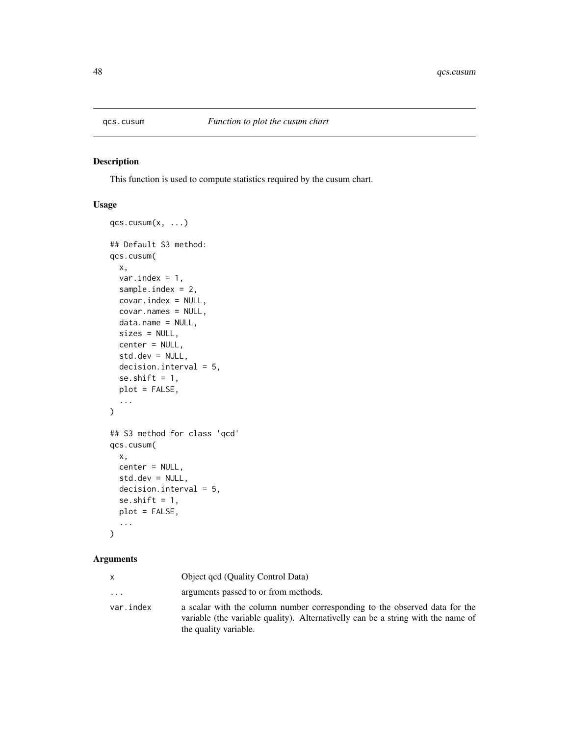<span id="page-47-0"></span>

#### Description

This function is used to compute statistics required by the cusum chart.

#### Usage

```
qcs.cusum(x, \ldots)## Default S3 method:
qcs.cusum(
 x,
 var.index = 1,
  sample.index = 2,
  covar.index = NULL,
  covar.names = NULL,
  data.name = NULL,
  sizes = NULL,
 center = NULL,
  std.dev = NULL,
  decision.interval = 5,
  se.shift = 1,
 plot = FALSE,
  ...
)
## S3 method for class 'qcd'
qcs.cusum(
 x,
 center = NULL,
 std.dev = NULL,
 decision.interval = 5,
  se.shift = 1,
 plot = FALSE,
  ...
)
```

| X         | Object qcd (Quality Control Data)                                                                                                                                                       |
|-----------|-----------------------------------------------------------------------------------------------------------------------------------------------------------------------------------------|
| $\cdots$  | arguments passed to or from methods.                                                                                                                                                    |
| var.index | a scalar with the column number corresponding to the observed data for the<br>variable (the variable quality). Alternativelly can be a string with the name of<br>the quality variable. |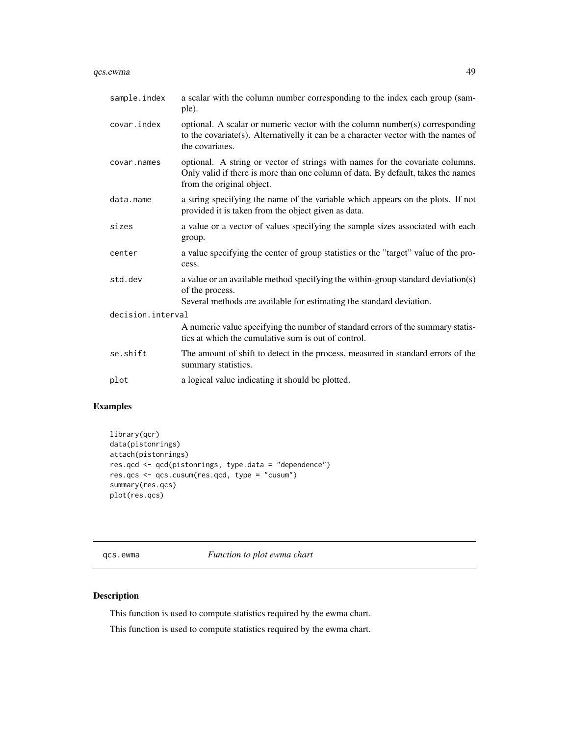#### <span id="page-48-0"></span>qcs.ewma 49

| sample.index      | a scalar with the column number corresponding to the index each group (sam-<br>ple).                                                                                                           |  |
|-------------------|------------------------------------------------------------------------------------------------------------------------------------------------------------------------------------------------|--|
| covar.index       | optional. A scalar or numeric vector with the column number(s) corresponding<br>to the covariate(s). Alternativelly it can be a character vector with the names of<br>the covariates.          |  |
| covar.names       | optional. A string or vector of strings with names for the covariate columns.<br>Only valid if there is more than one column of data. By default, takes the names<br>from the original object. |  |
| data.name         | a string specifying the name of the variable which appears on the plots. If not<br>provided it is taken from the object given as data.                                                         |  |
| sizes             | a value or a vector of values specifying the sample sizes associated with each<br>group.                                                                                                       |  |
| center            | a value specifying the center of group statistics or the "target" value of the pro-<br>cess.                                                                                                   |  |
| std.dev           | a value or an available method specifying the within-group standard deviation(s)<br>of the process.<br>Several methods are available for estimating the standard deviation.                    |  |
| decision.interval |                                                                                                                                                                                                |  |
|                   | A numeric value specifying the number of standard errors of the summary statis-<br>tics at which the cumulative sum is out of control.                                                         |  |
| se.shift          | The amount of shift to detect in the process, measured in standard errors of the<br>summary statistics.                                                                                        |  |
| plot              | a logical value indicating it should be plotted.                                                                                                                                               |  |

#### Examples

```
library(qcr)
data(pistonrings)
attach(pistonrings)
res.qcd <- qcd(pistonrings, type.data = "dependence")
res.qcs <- qcs.cusum(res.qcd, type = "cusum")
summary(res.qcs)
plot(res.qcs)
```
qcs.ewma *Function to plot ewma chart*

#### Description

This function is used to compute statistics required by the ewma chart.

This function is used to compute statistics required by the ewma chart.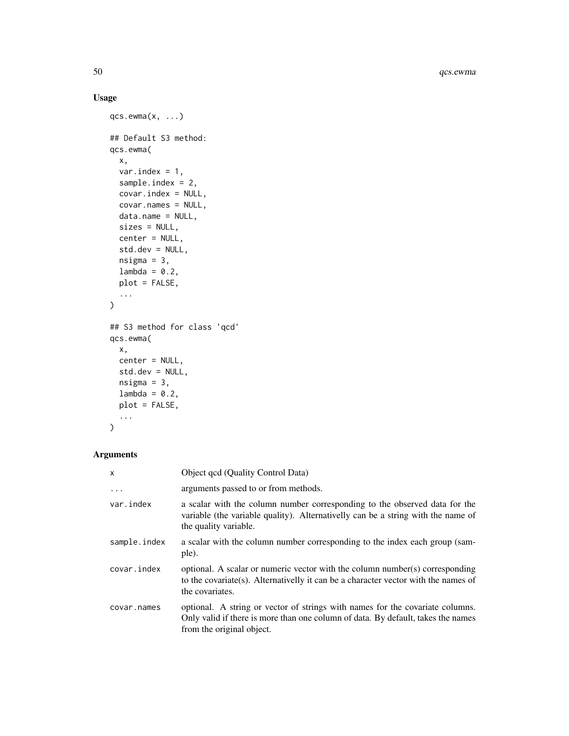#### Usage

```
qcs.ewma(x, ...)
## Default S3 method:
qcs.ewma(
 x,
 var.index = 1,
 sample.index = 2,
 covar.index = NULL,
 covar.names = NULL,
 data.name = NULL,
 sizes = NULL,
 center = NULL,
 std.dev = NULL,
 nsigma = 3,lambda = 0.2,
 plot = FALSE,
  ...
)
## S3 method for class 'qcd'
qcs.ewma(
 x,
 center = NULL,
 std.dev = NULL,
 nsigma = 3,
 lambda = 0.2,
 plot = FALSE,
  ...
)
```

| X            | Object qcd (Quality Control Data)                                                                                                                                                              |
|--------------|------------------------------------------------------------------------------------------------------------------------------------------------------------------------------------------------|
| $\ddots$ .   | arguments passed to or from methods.                                                                                                                                                           |
| var.index    | a scalar with the column number corresponding to the observed data for the<br>variable (the variable quality). Alternativelly can be a string with the name of<br>the quality variable.        |
| sample.index | a scalar with the column number corresponding to the index each group (sam-<br>ple).                                                                                                           |
| covar.index  | optional. A scalar or numeric vector with the column number(s) corresponding<br>to the covariate (s). Alternativelly it can be a character vector with the names of<br>the covariates.         |
| covar.names  | optional. A string or vector of strings with names for the covariate columns.<br>Only valid if there is more than one column of data. By default, takes the names<br>from the original object. |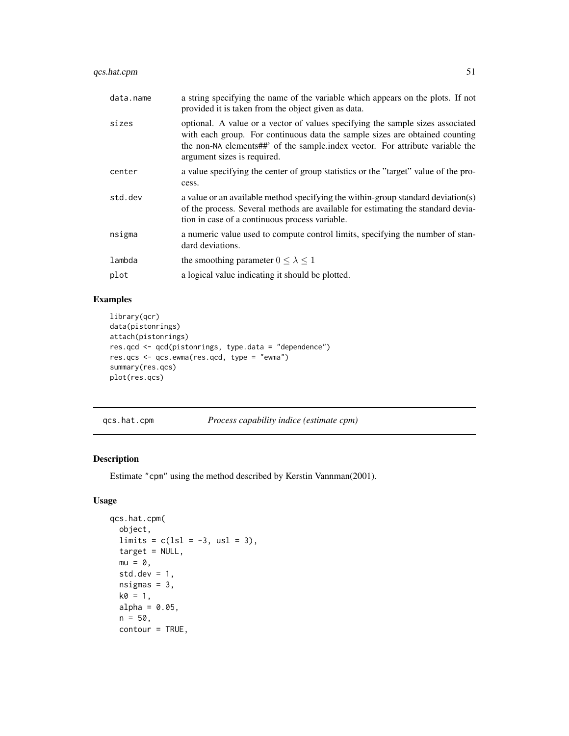#### <span id="page-50-0"></span>qcs.hat.cpm 51

| data.name | a string specifying the name of the variable which appears on the plots. If not<br>provided it is taken from the object given as data.                                                                                                                                        |
|-----------|-------------------------------------------------------------------------------------------------------------------------------------------------------------------------------------------------------------------------------------------------------------------------------|
| sizes     | optional. A value or a vector of values specifying the sample sizes associated<br>with each group. For continuous data the sample sizes are obtained counting<br>the non-NA elements##' of the sample index vector. For attribute variable the<br>argument sizes is required. |
| center    | a value specifying the center of group statistics or the "target" value of the pro-<br>cess.                                                                                                                                                                                  |
| std.dev   | a value or an available method specifying the within-group standard deviation(s)<br>of the process. Several methods are available for estimating the standard devia-<br>tion in case of a continuous process variable.                                                        |
| nsigma    | a numeric value used to compute control limits, specifying the number of stan-<br>dard deviations.                                                                                                                                                                            |
| lambda    | the smoothing parameter $0 \leq \lambda \leq 1$                                                                                                                                                                                                                               |
| plot      | a logical value indicating it should be plotted.                                                                                                                                                                                                                              |

#### Examples

```
library(qcr)
data(pistonrings)
attach(pistonrings)
res.qcd <- qcd(pistonrings, type.data = "dependence")
res.qcs <- qcs.ewma(res.qcd, type = "ewma")
summary(res.qcs)
plot(res.qcs)
```
qcs.hat.cpm *Process capability indice (estimate cpm)*

#### Description

Estimate "cpm" using the method described by Kerstin Vannman(2001).

```
qcs.hat.cpm(
  object,
 limits = c(ls1 = -3, us1 = 3),target = NULL,
 mu = 0,
 std.dev = 1,
 nsigma = 3,
 k0 = 1,
 alpha = 0.05,
 n = 50,
 contour = TRUE,
```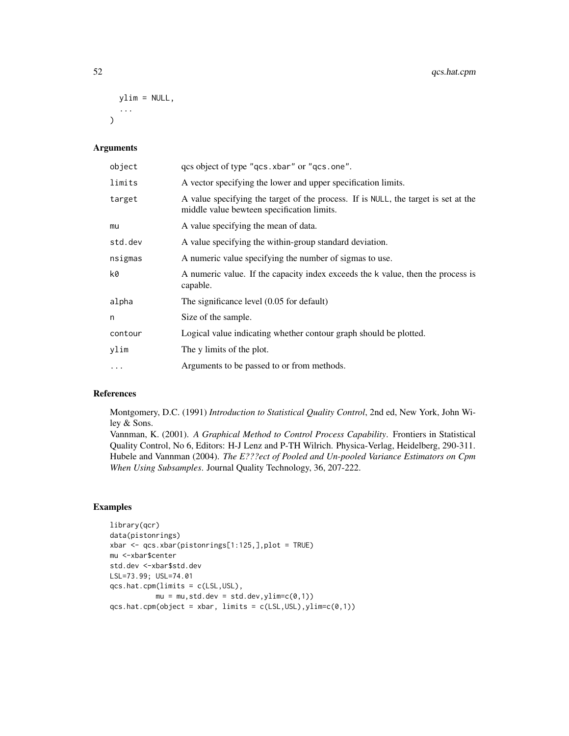```
ylim = NULL,
  ...
\lambda
```
#### Arguments

| object    | qcs object of type "qcs.xbar" or "qcs.one".                                                                                      |
|-----------|----------------------------------------------------------------------------------------------------------------------------------|
| limits    | A vector specifying the lower and upper specification limits.                                                                    |
| target    | A value specifying the target of the process. If is NULL, the target is set at the<br>middle value bewteen specification limits. |
| mu        | A value specifying the mean of data.                                                                                             |
| std.dev   | A value specifying the within-group standard deviation.                                                                          |
| nsigmas   | A numeric value specifying the number of sigmas to use.                                                                          |
| k0        | A numeric value. If the capacity index exceeds the k value, then the process is<br>capable.                                      |
| alpha     | The significance level (0.05 for default)                                                                                        |
| n         | Size of the sample.                                                                                                              |
| contour   | Logical value indicating whether contour graph should be plotted.                                                                |
| ylim      | The y limits of the plot.                                                                                                        |
| $\ddotsc$ | Arguments to be passed to or from methods.                                                                                       |

#### References

Montgomery, D.C. (1991) *Introduction to Statistical Quality Control*, 2nd ed, New York, John Wiley & Sons.

Vannman, K. (2001). *A Graphical Method to Control Process Capability*. Frontiers in Statistical Quality Control, No 6, Editors: H-J Lenz and P-TH Wilrich. Physica-Verlag, Heidelberg, 290-311. Hubele and Vannman (2004). *The E???ect of Pooled and Un-pooled Variance Estimators on Cpm When Using Subsamples*. Journal Quality Technology, 36, 207-222.

#### Examples

```
library(qcr)
data(pistonrings)
xbar <- qcs.xbar(pistonrings[1:125,],plot = TRUE)
mu <-xbar$center
std.dev <-xbar$std.dev
LSL=73.99; USL=74.01
qcs.hat.cpm(limits = c(LSL,USL),
           mu = mu, std. dev = std. dev, ylim=c(0,1))qcs.hat.cpm(object = xbar, limits = c(LSL,USL),ylim=c(0,1))
```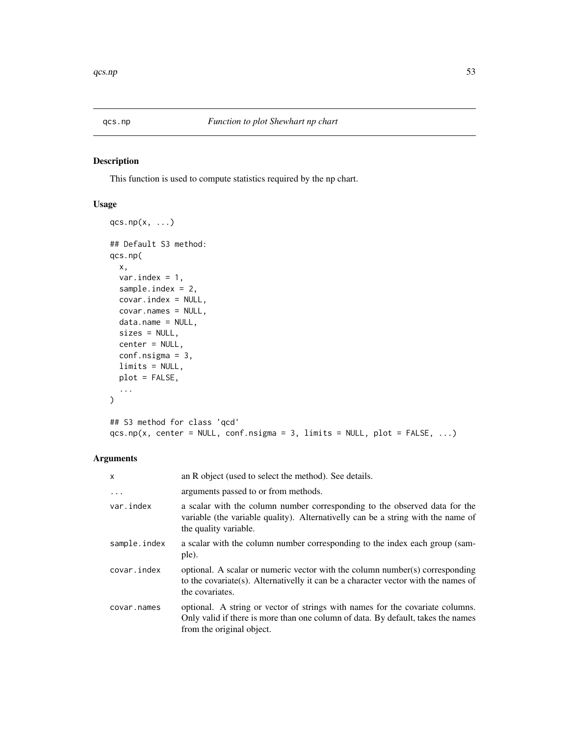<span id="page-52-0"></span>

#### Description

This function is used to compute statistics required by the np chart.

#### Usage

```
qcs.np(x, \ldots)## Default S3 method:
qcs.np(
  x,
  var.index = 1,
  sample.index = 2,
  covar.index = NULL,
  covar.names = NULL,
  data.name = NULL,
  sizes = NULL,
  center = NULL,
  conf.nsigma = 3,
  limits = NULL,
  plot = FALSE,
  ...
\mathcal{L}## S3 method for class 'qcd'
qcs.np(x, center = NULL, conf.nsigma = 3, limits = NULL, plot = FALSE, ...)
```

| X            | an R object (used to select the method). See details.                                                                                                                                          |
|--------------|------------------------------------------------------------------------------------------------------------------------------------------------------------------------------------------------|
| .            | arguments passed to or from methods.                                                                                                                                                           |
| var.index    | a scalar with the column number corresponding to the observed data for the<br>variable (the variable quality). Alternatively can be a string with the name of<br>the quality variable.         |
| sample.index | a scalar with the column number corresponding to the index each group (sam-<br>ple).                                                                                                           |
| covar.index  | optional. A scalar or numeric vector with the column number(s) corresponding<br>to the covariate(s). Alternativelly it can be a character vector with the names of<br>the covariates.          |
| covar.names  | optional. A string or vector of strings with names for the covariate columns.<br>Only valid if there is more than one column of data. By default, takes the names<br>from the original object. |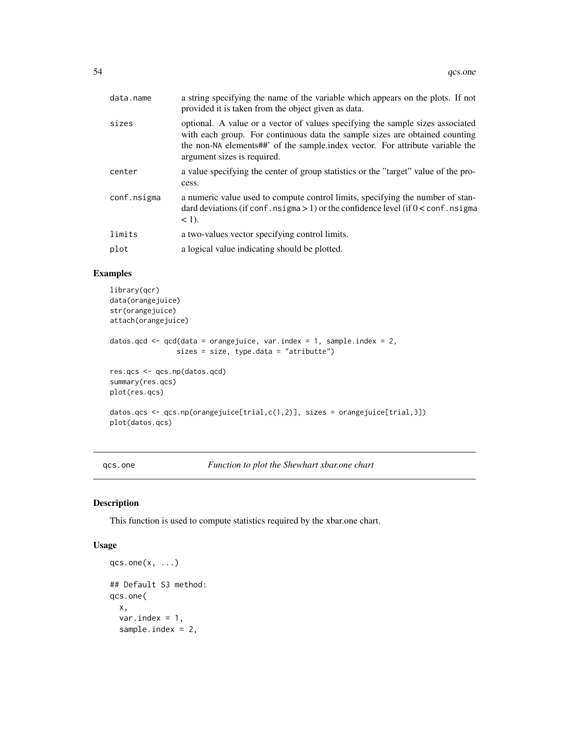<span id="page-53-0"></span>

| data.name   | a string specifying the name of the variable which appears on the plots. If not<br>provided it is taken from the object given as data.                                                                                                                                        |
|-------------|-------------------------------------------------------------------------------------------------------------------------------------------------------------------------------------------------------------------------------------------------------------------------------|
| sizes       | optional. A value or a vector of values specifying the sample sizes associated<br>with each group. For continuous data the sample sizes are obtained counting<br>the non-NA elements##' of the sample index vector. For attribute variable the<br>argument sizes is required. |
| center      | a value specifying the center of group statistics or the "target" value of the pro-<br>cess.                                                                                                                                                                                  |
| conf.nsigma | a numeric value used to compute control limits, specifying the number of stan-<br>dard deviations (if conf. nsigma $> 1$ ) or the confidence level (if $0 <$ conf. nsigma<br>$<$ 1).                                                                                          |
| limits      | a two-values vector specifying control limits.                                                                                                                                                                                                                                |
| plot        | a logical value indicating should be plotted.                                                                                                                                                                                                                                 |
|             |                                                                                                                                                                                                                                                                               |

#### Examples

```
library(qcr)
data(orangejuice)
str(orangejuice)
attach(orangejuice)
datos.qcd \leq qcd(data = orangejuice, var.index = 1, sample.index = 2,
                sizes = size, type.data = "atributte")
res.qcs <- qcs.np(datos.qcd)
summary(res.qcs)
plot(res.qcs)
datos.qcs <- qcs.np(orangejuice[trial,c(1,2)], sizes = orangejuice[trial,3])
plot(datos.qcs)
```
qcs.one *Function to plot the Shewhart xbar.one chart*

#### Description

This function is used to compute statistics required by the xbar.one chart.

```
qcs.one(x, ...)## Default S3 method:
qcs.one(
 x,
 var.index = 1,
  sample.index = 2,
```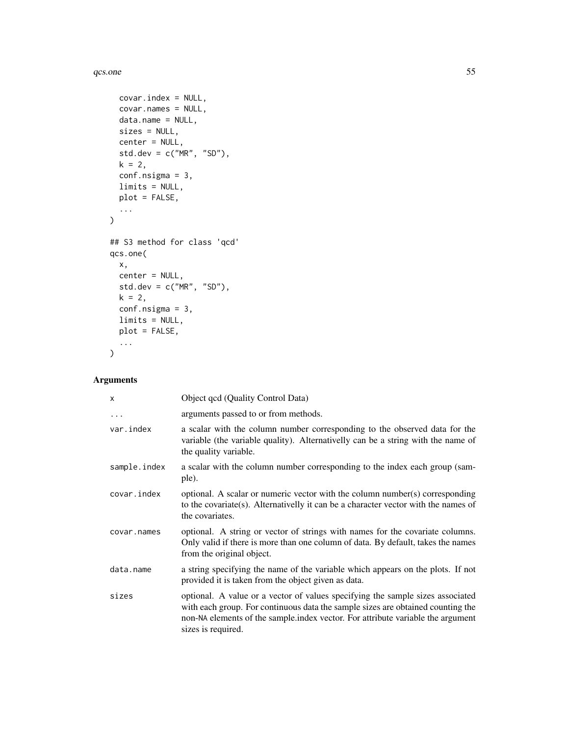#### $qcs.$ one  $55$

```
covar.index = NULL,
 covar.names = NULL,
 data.name = NULL,
 sizes = NULL,
 center = NULL,
 std.dev = c("MR", "SD"),
 k = 2,conf.nsigma = 3,
 limits = NULL,
 plot = FALSE,
 ...
\mathcal{L}## S3 method for class 'qcd'
qcs.one(
 x,
 center = NULL,
 std.dev = c("MR", "SD"),
 k = 2,conf.nsigma = 3,
 limits = NULL,
 plot = FALSE,
  ...
\mathcal{L}
```

| X            | Object qcd (Quality Control Data)                                                                                                                                                                                                                                          |
|--------------|----------------------------------------------------------------------------------------------------------------------------------------------------------------------------------------------------------------------------------------------------------------------------|
| $\ddotsc$    | arguments passed to or from methods.                                                                                                                                                                                                                                       |
| var.index    | a scalar with the column number corresponding to the observed data for the<br>variable (the variable quality). Alternativelly can be a string with the name of<br>the quality variable.                                                                                    |
| sample.index | a scalar with the column number corresponding to the index each group (sam-<br>ple).                                                                                                                                                                                       |
| covar.index  | optional. A scalar or numeric vector with the column number(s) corresponding<br>to the covariate(s). Alternativelly it can be a character vector with the names of<br>the covariates.                                                                                      |
| covar.names  | optional. A string or vector of strings with names for the covariate columns.<br>Only valid if there is more than one column of data. By default, takes the names<br>from the original object.                                                                             |
| data.name    | a string specifying the name of the variable which appears on the plots. If not<br>provided it is taken from the object given as data.                                                                                                                                     |
| sizes        | optional. A value or a vector of values specifying the sample sizes associated<br>with each group. For continuous data the sample sizes are obtained counting the<br>non-NA elements of the sample index vector. For attribute variable the argument<br>sizes is required. |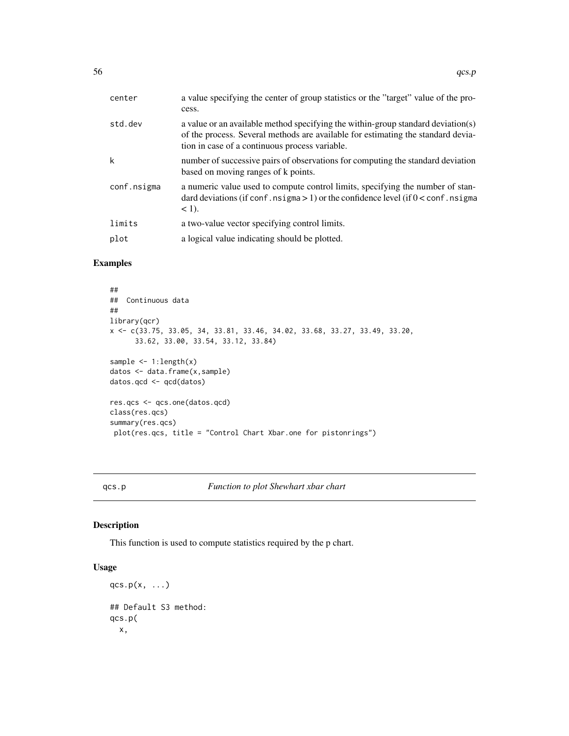<span id="page-55-0"></span>

| center      | a value specifying the center of group statistics or the "target" value of the pro-<br>cess.                                                                                                                           |
|-------------|------------------------------------------------------------------------------------------------------------------------------------------------------------------------------------------------------------------------|
| std.dev     | a value or an available method specifying the within-group standard deviation(s)<br>of the process. Several methods are available for estimating the standard devia-<br>tion in case of a continuous process variable. |
| k           | number of successive pairs of observations for computing the standard deviation<br>based on moving ranges of k points.                                                                                                 |
| conf.nsigma | a numeric value used to compute control limits, specifying the number of stan-<br>dard deviations (if conf. nsigma $> 1$ ) or the confidence level (if $0 <$ conf. nsigma<br>$<$ 1).                                   |
| limits      | a two-value vector specifying control limits.                                                                                                                                                                          |
| plot        | a logical value indicating should be plotted.                                                                                                                                                                          |

#### Examples

```
##
## Continuous data
##
library(qcr)
x <- c(33.75, 33.05, 34, 33.81, 33.46, 34.02, 33.68, 33.27, 33.49, 33.20,
      33.62, 33.00, 33.54, 33.12, 33.84)
sample <- 1:length(x)
datos <- data.frame(x,sample)
datos.qcd <- qcd(datos)
res.qcs <- qcs.one(datos.qcd)
class(res.qcs)
summary(res.qcs)
plot(res.qcs, title = "Control Chart Xbar.one for pistonrings")
```
#### qcs.p *Function to plot Shewhart xbar chart*

#### Description

This function is used to compute statistics required by the p chart.

```
qcs.p(x, \ldots)## Default S3 method:
qcs.p(
  x,
```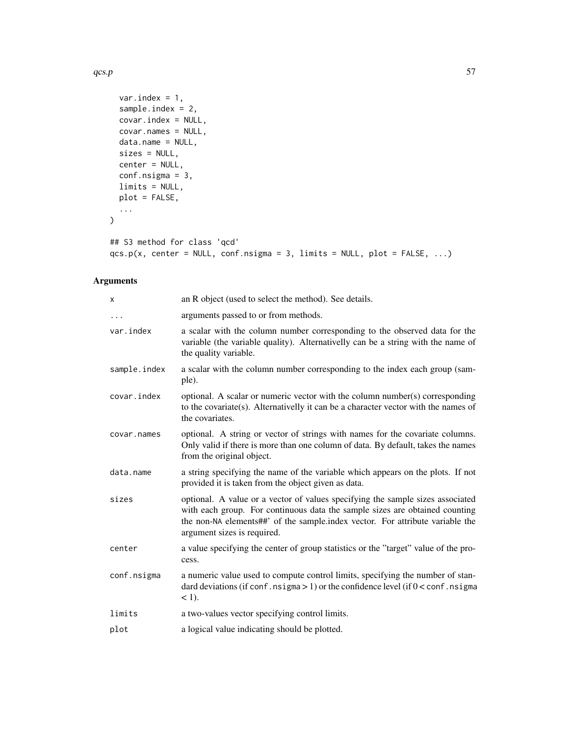$qcs.p$  57

```
var.index = 1,
  sample.index = 2,
  covar.index = NULL,
  covar.names = NULL,
  data.name = NULL,
  sizes = NULL,
  center = NULL,
  conf.nsigma = 3,
  limits = NULL,
  plot = FALSE,
  ...
\sum_{i=1}^{n}
```

```
## S3 method for class 'qcd'
qcs.p(x, center = NULL, conf.nsigma = 3, limits = NULL, plot = FALSE, ...)
```

| X            | an R object (used to select the method). See details.                                                                                                                                                                                                                         |
|--------------|-------------------------------------------------------------------------------------------------------------------------------------------------------------------------------------------------------------------------------------------------------------------------------|
| $\cdots$     | arguments passed to or from methods.                                                                                                                                                                                                                                          |
| var.index    | a scalar with the column number corresponding to the observed data for the<br>variable (the variable quality). Alternativelly can be a string with the name of<br>the quality variable.                                                                                       |
| sample.index | a scalar with the column number corresponding to the index each group (sam-<br>ple).                                                                                                                                                                                          |
| covar.index  | optional. A scalar or numeric vector with the column number(s) corresponding<br>to the covariate(s). Alternativelly it can be a character vector with the names of<br>the covariates.                                                                                         |
| covar.names  | optional. A string or vector of strings with names for the covariate columns.<br>Only valid if there is more than one column of data. By default, takes the names<br>from the original object.                                                                                |
| data.name    | a string specifying the name of the variable which appears on the plots. If not<br>provided it is taken from the object given as data.                                                                                                                                        |
| sizes        | optional. A value or a vector of values specifying the sample sizes associated<br>with each group. For continuous data the sample sizes are obtained counting<br>the non-NA elements##' of the sample.index vector. For attribute variable the<br>argument sizes is required. |
| center       | a value specifying the center of group statistics or the "target" value of the pro-<br>cess.                                                                                                                                                                                  |
| conf.nsigma  | a numeric value used to compute control limits, specifying the number of stan-<br>dard deviations (if conf. nsigma $> 1$ ) or the confidence level (if $0 <$ conf. nsigma<br>$<$ 1).                                                                                          |
| limits       | a two-values vector specifying control limits.                                                                                                                                                                                                                                |
| plot         | a logical value indicating should be plotted.                                                                                                                                                                                                                                 |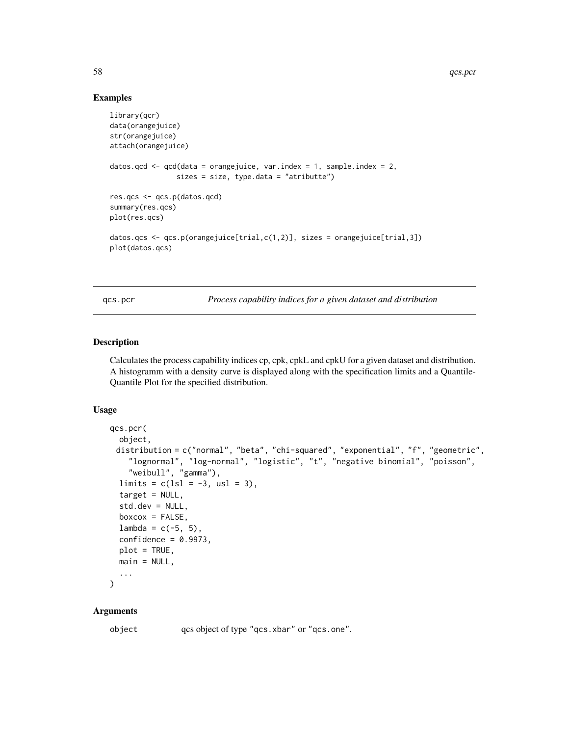#### Examples

```
library(qcr)
data(orangejuice)
str(orangejuice)
attach(orangejuice)
datos.qcd \leq qcd(data = orangejuice, var.index = 1, sample.index = 2,
                sizes = size, type.data = "atributte")
res.qcs <- qcs.p(datos.qcd)
summary(res.qcs)
plot(res.qcs)
datos.qcs <- qcs.p(orangejuice[trial,c(1,2)], sizes = orangejuice[trial,3])
plot(datos.qcs)
```
qcs.pcr *Process capability indices for a given dataset and distribution*

#### Description

Calculates the process capability indices cp, cpk, cpkL and cpkU for a given dataset and distribution. A histogramm with a density curve is displayed along with the specification limits and a Quantile-Quantile Plot for the specified distribution.

#### Usage

```
qcs.pcr(
 object,
 distribution = c("normal", "beta", "chi-squared", "exponential", "f", "geometric",
    "lognormal", "log-normal", "logistic", "t", "negative binomial", "poisson",
    "weibull", "gamma"),
  limits = c(1s1 = -3, us1 = 3),target = NULL,std.dev = NULL,
 boxc = FALSE,
 lambda = c(-5, 5),
  confidence = 0.9973,
 plot = TRUE,
 main = NULL,
  ...
\lambda
```
#### Arguments

object qcs object of type "qcs.xbar" or "qcs.one".

<span id="page-57-0"></span>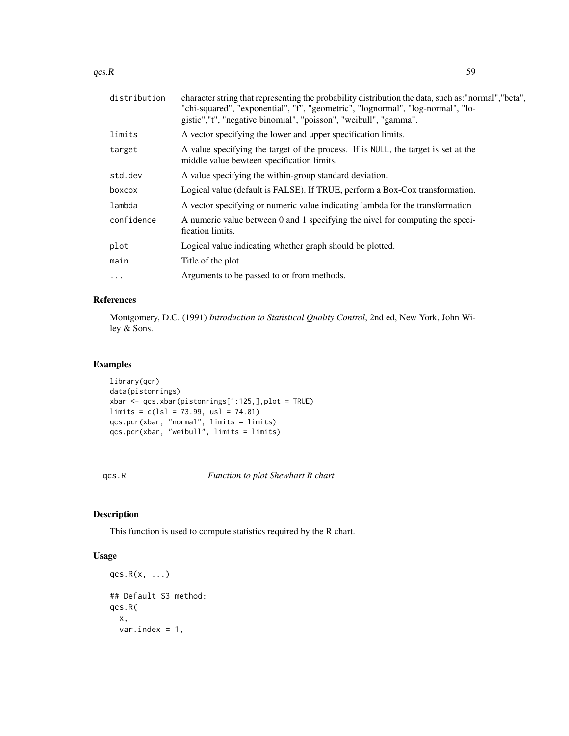<span id="page-58-0"></span>

| distribution | character string that representing the probability distribution the data, such as:"normal","beta",<br>"chi-squared", "exponential", "f", "geometric", "lognormal", "log-normal", "lo-<br>gistic","t", "negative binomial", "poisson", "weibull", "gamma". |
|--------------|-----------------------------------------------------------------------------------------------------------------------------------------------------------------------------------------------------------------------------------------------------------|
| limits       | A vector specifying the lower and upper specification limits.                                                                                                                                                                                             |
| target       | A value specifying the target of the process. If is NULL, the target is set at the<br>middle value bewteen specification limits.                                                                                                                          |
| std.dev      | A value specifying the within-group standard deviation.                                                                                                                                                                                                   |
| boxcox       | Logical value (default is FALSE). If TRUE, perform a Box-Cox transformation.                                                                                                                                                                              |
| lambda       | A vector specifying or numeric value indicating lambda for the transformation                                                                                                                                                                             |
| confidence   | A numeric value between 0 and 1 specifying the nivel for computing the speci-<br>fication limits.                                                                                                                                                         |
| plot         | Logical value indicating whether graph should be plotted.                                                                                                                                                                                                 |
| main         | Title of the plot.                                                                                                                                                                                                                                        |
| $\ddots$     | Arguments to be passed to or from methods.                                                                                                                                                                                                                |
|              |                                                                                                                                                                                                                                                           |

#### References

Montgomery, D.C. (1991) *Introduction to Statistical Quality Control*, 2nd ed, New York, John Wiley & Sons.

#### Examples

```
library(qcr)
data(pistonrings)
xbar <- qcs.xbar(pistonrings[1:125,],plot = TRUE)
\text{limits} = c(\text{lsl} = 73.99, \text{ usl} = 74.01)qcs.pcr(xbar, "normal", limits = limits)
qcs.pcr(xbar, "weibull", limits = limits)
```
qcs.R *Function to plot Shewhart R chart*

#### Description

This function is used to compute statistics required by the R chart.

```
qcs.R(x, \ldots)## Default S3 method:
qcs.R(
 x,
 var.index = 1,
```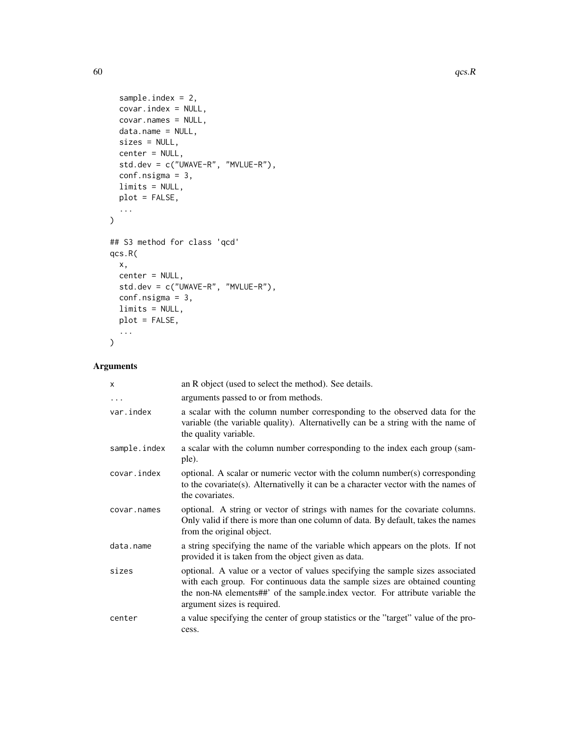```
sample.index = 2,
 covar.index = NULL,
 covar.names = NULL,
 data.name = NULL,
 sizes = NULL,
 center = NULL,
 std.dev = c("UWAVE-R", "MVLUE-R"),
 conf.nsigma = 3,
 limits = NULL,
 plot = FALSE,
 ...
\mathcal{L}## S3 method for class 'qcd'
qcs.R(
 x,
 center = NULL,
 std.dev = c("UWAVE-R", "MVLUE-R"),
 conf.nsigma = 3,
 limits = NULL,
 plot = FALSE,
  ...
\mathcal{L}
```

| X            | an R object (used to select the method). See details.                                                                                                                                                                                                                         |
|--------------|-------------------------------------------------------------------------------------------------------------------------------------------------------------------------------------------------------------------------------------------------------------------------------|
| $\ddots$     | arguments passed to or from methods.                                                                                                                                                                                                                                          |
| var.index    | a scalar with the column number corresponding to the observed data for the<br>variable (the variable quality). Alternativelly can be a string with the name of<br>the quality variable.                                                                                       |
| sample.index | a scalar with the column number corresponding to the index each group (sam-<br>ple).                                                                                                                                                                                          |
| covar.index  | optional. A scalar or numeric vector with the column number(s) corresponding<br>to the covariate(s). Alternativelly it can be a character vector with the names of<br>the covariates.                                                                                         |
| covar.names  | optional. A string or vector of strings with names for the covariate columns.<br>Only valid if there is more than one column of data. By default, takes the names<br>from the original object.                                                                                |
| data.name    | a string specifying the name of the variable which appears on the plots. If not<br>provided it is taken from the object given as data.                                                                                                                                        |
| sizes        | optional. A value or a vector of values specifying the sample sizes associated<br>with each group. For continuous data the sample sizes are obtained counting<br>the non-NA elements##' of the sample index vector. For attribute variable the<br>argument sizes is required. |
| center       | a value specifying the center of group statistics or the "target" value of the pro-<br>cess.                                                                                                                                                                                  |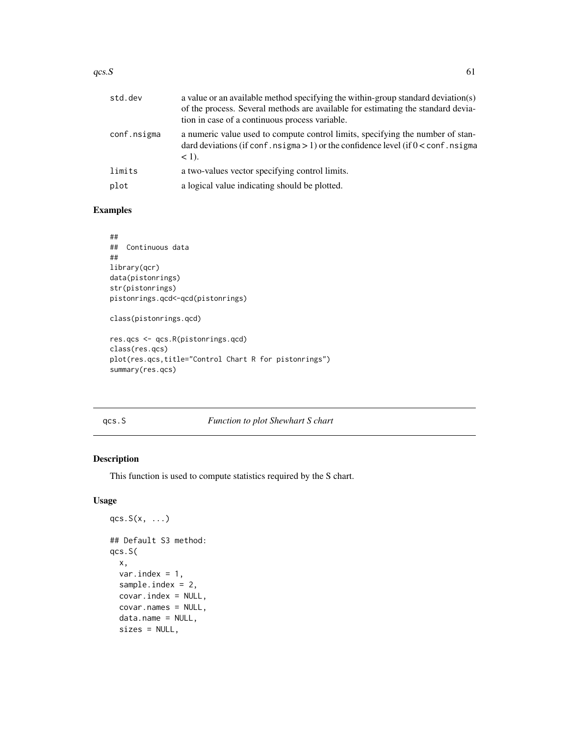<span id="page-60-0"></span>

| std.dev     | a value or an available method specifying the within-group standard deviation(s)<br>of the process. Several methods are available for estimating the standard devia-<br>tion in case of a continuous process variable. |
|-------------|------------------------------------------------------------------------------------------------------------------------------------------------------------------------------------------------------------------------|
| conf.nsigma | a numeric value used to compute control limits, specifying the number of stan-<br>dard deviations (if conf. nsigma $> 1$ ) or the confidence level (if $0 <$ conf. nsigma<br>$<$ 1).                                   |
| limits      | a two-values vector specifying control limits.                                                                                                                                                                         |
| plot        | a logical value indicating should be plotted.                                                                                                                                                                          |

#### Examples

```
##
## Continuous data
##
library(qcr)
data(pistonrings)
str(pistonrings)
pistonrings.qcd<-qcd(pistonrings)
class(pistonrings.qcd)
res.qcs <- qcs.R(pistonrings.qcd)
```

```
class(res.qcs)
plot(res.qcs,title="Control Chart R for pistonrings")
summary(res.qcs)
```
#### qcs.S *Function to plot Shewhart S chart*

#### Description

This function is used to compute statistics required by the S chart.

```
qcs.S(x, \ldots)## Default S3 method:
qcs.S(
 x,
  var.index = 1,
  sample.index = 2,
  covar.index = NULL,
  covar.names = NULL,
  data.name = NULL,
  sizes = NULL,
```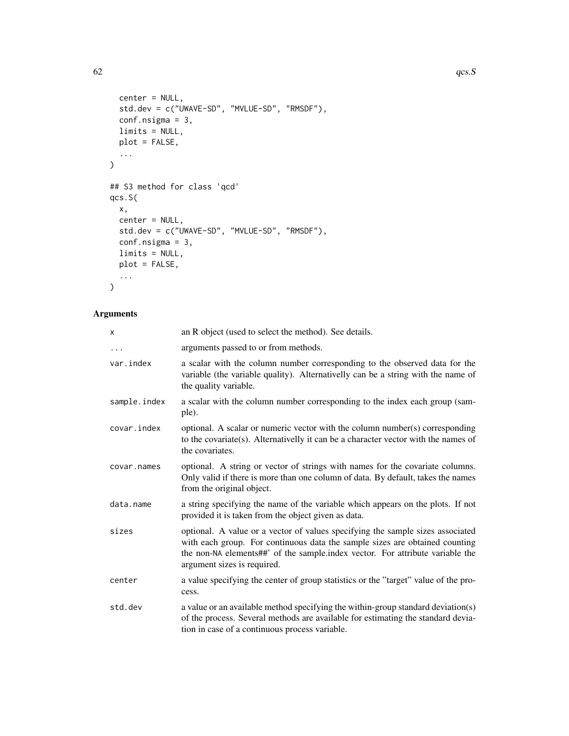```
center = NULL,
 std.dev = c("UWAVE-SD", "MVLUE-SD", "RMSDF"),
  conf.nsigma = 3,
  limits = NULL,
  plot = FALSE,
  ...
\mathcal{L}## S3 method for class 'qcd'
qcs.S(
 x,
 center = NULL,
 std.dev = c("UWAVE-SD", "MVLUE-SD", "RMSDF"),
 conf.nsigma = 3,
  limits = NULL,
  plot = FALSE,
  ...
```
### Arguments

 $\mathcal{L}$ 

| X            | an R object (used to select the method). See details.                                                                                                                                                                                                                         |
|--------------|-------------------------------------------------------------------------------------------------------------------------------------------------------------------------------------------------------------------------------------------------------------------------------|
| .            | arguments passed to or from methods.                                                                                                                                                                                                                                          |
| var.index    | a scalar with the column number corresponding to the observed data for the<br>variable (the variable quality). Alternativelly can be a string with the name of<br>the quality variable.                                                                                       |
| sample.index | a scalar with the column number corresponding to the index each group (sam-<br>ple).                                                                                                                                                                                          |
| covar.index  | optional. A scalar or numeric vector with the column number(s) corresponding<br>to the covariate(s). Alternativelly it can be a character vector with the names of<br>the covariates.                                                                                         |
| covar.names  | optional. A string or vector of strings with names for the covariate columns.<br>Only valid if there is more than one column of data. By default, takes the names<br>from the original object.                                                                                |
| data.name    | a string specifying the name of the variable which appears on the plots. If not<br>provided it is taken from the object given as data.                                                                                                                                        |
| sizes        | optional. A value or a vector of values specifying the sample sizes associated<br>with each group. For continuous data the sample sizes are obtained counting<br>the non-NA elements##' of the sample.index vector. For attribute variable the<br>argument sizes is required. |
| center       | a value specifying the center of group statistics or the "target" value of the pro-<br>cess.                                                                                                                                                                                  |
| std.dev      | a value or an available method specifying the within-group standard deviation(s)<br>of the process. Several methods are available for estimating the standard devia-<br>tion in case of a continuous process variable.                                                        |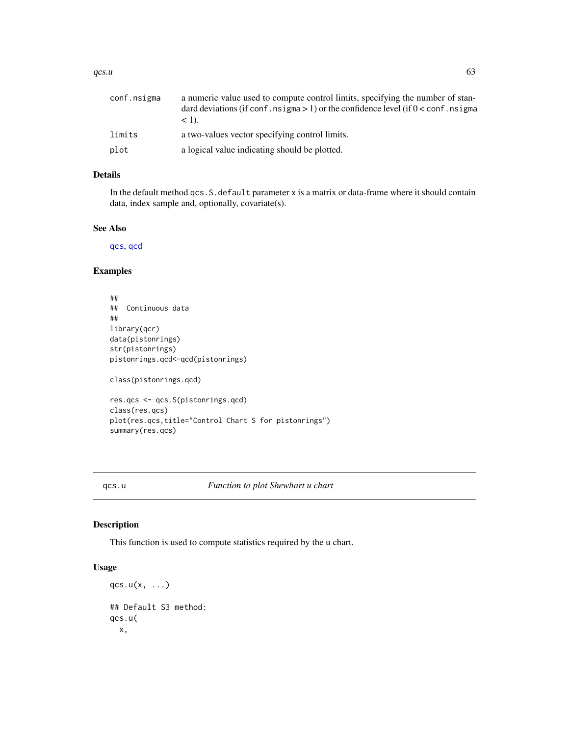<span id="page-62-0"></span>

| conf.nsigma | a numeric value used to compute control limits, specifying the number of stan-<br>dard deviations (if conf. $nsigma > 1$ ) or the confidence level (if $0 <$ conf. nsigma<br>$< 1$ . |
|-------------|--------------------------------------------------------------------------------------------------------------------------------------------------------------------------------------|
| limits      | a two-values vector specifying control limits.                                                                                                                                       |
| plot        | a logical value indicating should be plotted.                                                                                                                                        |

#### Details

In the default method qcs.S.default parameter x is a matrix or data-frame where it should contain data, index sample and, optionally, covariate(s).

#### See Also

[qcs](#page-38-1), [qcd](#page-36-1)

#### Examples

```
##
## Continuous data
##
library(qcr)
data(pistonrings)
str(pistonrings)
pistonrings.qcd<-qcd(pistonrings)
class(pistonrings.qcd)
res.qcs <- qcs.S(pistonrings.qcd)
```

```
class(res.qcs)
plot(res.qcs,title="Control Chart S for pistonrings")
summary(res.qcs)
```
#### qcs.u *Function to plot Shewhart u chart*

#### Description

This function is used to compute statistics required by the u chart.

```
qcs.u(x, \ldots)## Default S3 method:
qcs.u(
 x,
```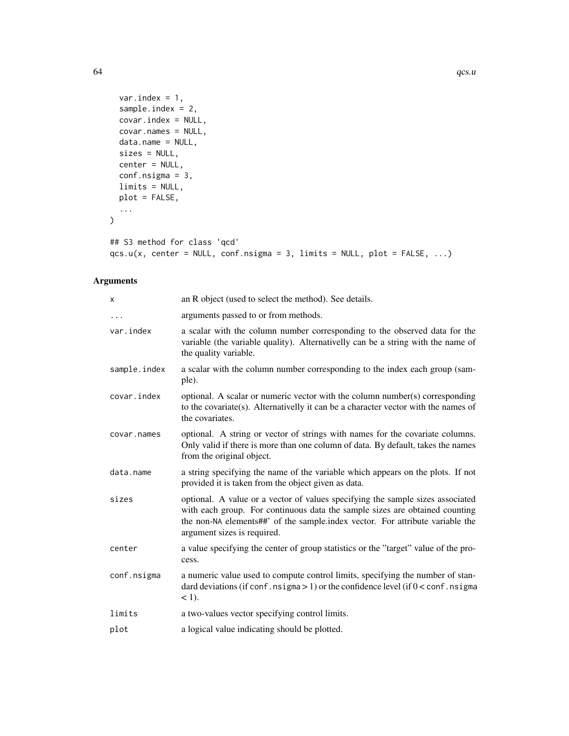```
var.index = 1,
  sample.index = 2,
  covar.index = NULL,
  covar.names = NULL,
  data.name = NULL,
  sizes = NULL,
  center = NULL,
  conf.nsigma = 3,
  limits = NULL,
  plot = FALSE,
  ...
\sum_{i=1}^{n}
```

```
## S3 method for class 'qcd'
qcs.u(x, center = NULL, conf.nsigma = 3, limits = NULL, plot = FALSE, ...)
```

| X            | an R object (used to select the method). See details.                                                                                                                                                                                                                         |
|--------------|-------------------------------------------------------------------------------------------------------------------------------------------------------------------------------------------------------------------------------------------------------------------------------|
| $\cdots$     | arguments passed to or from methods.                                                                                                                                                                                                                                          |
| var.index    | a scalar with the column number corresponding to the observed data for the<br>variable (the variable quality). Alternativelly can be a string with the name of<br>the quality variable.                                                                                       |
| sample.index | a scalar with the column number corresponding to the index each group (sam-<br>ple).                                                                                                                                                                                          |
| covar.index  | optional. A scalar or numeric vector with the column number(s) corresponding<br>to the covariate(s). Alternativelly it can be a character vector with the names of<br>the covariates.                                                                                         |
| covar.names  | optional. A string or vector of strings with names for the covariate columns.<br>Only valid if there is more than one column of data. By default, takes the names<br>from the original object.                                                                                |
| data.name    | a string specifying the name of the variable which appears on the plots. If not<br>provided it is taken from the object given as data.                                                                                                                                        |
| sizes        | optional. A value or a vector of values specifying the sample sizes associated<br>with each group. For continuous data the sample sizes are obtained counting<br>the non-NA elements##' of the sample.index vector. For attribute variable the<br>argument sizes is required. |
| center       | a value specifying the center of group statistics or the "target" value of the pro-<br>cess.                                                                                                                                                                                  |
| conf.nsigma  | a numeric value used to compute control limits, specifying the number of stan-<br>dard deviations (if conf. nsigma $> 1$ ) or the confidence level (if $0 <$ conf. nsigma<br>$<$ 1).                                                                                          |
| limits       | a two-values vector specifying control limits.                                                                                                                                                                                                                                |
| plot         | a logical value indicating should be plotted.                                                                                                                                                                                                                                 |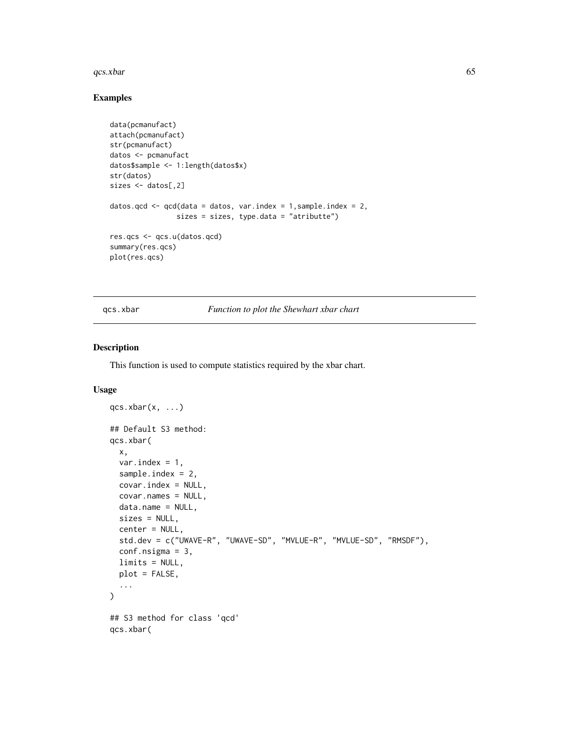#### <span id="page-64-0"></span> $qcs. xbar$  65

#### Examples

```
data(pcmanufact)
attach(pcmanufact)
str(pcmanufact)
datos <- pcmanufact
datos$sample <- 1:length(datos$x)
str(datos)
sizes <- datos[,2]
datos.qcd <- qcd(data = datos, var.index = 1, sample.index = 2,
                sizes = sizes, type.data = "atributte")
res.qcs <- qcs.u(datos.qcd)
summary(res.qcs)
plot(res.qcs)
```
qcs.xbar *Function to plot the Shewhart xbar chart*

#### Description

This function is used to compute statistics required by the xbar chart.

```
qcs. xbar(x, ...)## Default S3 method:
qcs.xbar(
 x,
  var.index = 1,
  sample.index = 2,
  covar.index = NULL,
  covar.names = NULL,
 data.name = NULL,
 sizes = NULL,
  center = NULL,
  std.dev = c("UWAVE-R", "UWAVE-SD", "MVLUE-R", "MVLUE-SD", "RMSDF"),
  conf.nsigma = 3,
 limits = NULL,
 plot = FALSE,
  ...
\lambda## S3 method for class 'qcd'
qcs.xbar(
```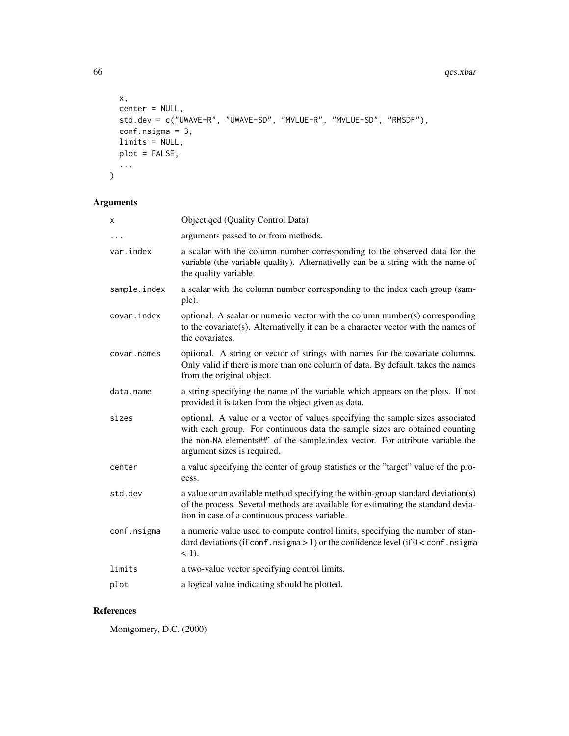```
x,
  center = NULL,
 std.dev = c("UWAVE-R", "UWAVE-SD", "MVLUE-R", "MVLUE-SD", "RMSDF"),
  conf.nsigma = 3,
  limits = NULL,
  plot = FALSE,
  ...
\mathcal{L}
```
#### Arguments

| x            | Object qcd (Quality Control Data)                                                                                                                                                                                                                                             |
|--------------|-------------------------------------------------------------------------------------------------------------------------------------------------------------------------------------------------------------------------------------------------------------------------------|
| .            | arguments passed to or from methods.                                                                                                                                                                                                                                          |
| var.index    | a scalar with the column number corresponding to the observed data for the<br>variable (the variable quality). Alternativelly can be a string with the name of<br>the quality variable.                                                                                       |
| sample.index | a scalar with the column number corresponding to the index each group (sam-<br>ple).                                                                                                                                                                                          |
| covar.index  | optional. A scalar or numeric vector with the column number(s) corresponding<br>to the covariate(s). Alternativelly it can be a character vector with the names of<br>the covariates.                                                                                         |
| covar.names  | optional. A string or vector of strings with names for the covariate columns.<br>Only valid if there is more than one column of data. By default, takes the names<br>from the original object.                                                                                |
| data.name    | a string specifying the name of the variable which appears on the plots. If not<br>provided it is taken from the object given as data.                                                                                                                                        |
| sizes        | optional. A value or a vector of values specifying the sample sizes associated<br>with each group. For continuous data the sample sizes are obtained counting<br>the non-NA elements##' of the sample.index vector. For attribute variable the<br>argument sizes is required. |
| center       | a value specifying the center of group statistics or the "target" value of the pro-<br>cess.                                                                                                                                                                                  |
| std.dev      | a value or an available method specifying the within-group standard deviation(s)<br>of the process. Several methods are available for estimating the standard devia-<br>tion in case of a continuous process variable.                                                        |
| conf.nsigma  | a numeric value used to compute control limits, specifying the number of stan-<br>dard deviations (if conf. nsigma $> 1$ ) or the confidence level (if $0 <$ conf. nsigma<br>$<$ 1).                                                                                          |
| limits       | a two-value vector specifying control limits.                                                                                                                                                                                                                                 |
| plot         | a logical value indicating should be plotted.                                                                                                                                                                                                                                 |
|              |                                                                                                                                                                                                                                                                               |

#### References

Montgomery, D.C. (2000)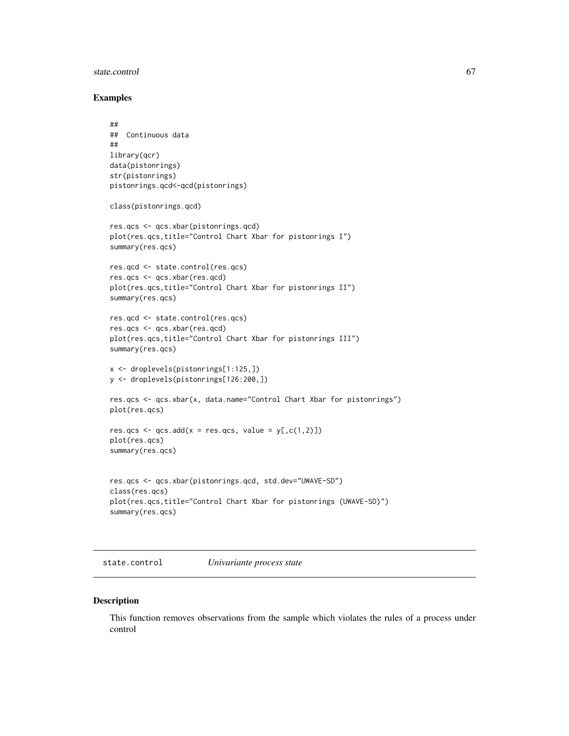#### <span id="page-66-0"></span>state.control 67

#### Examples

```
##
## Continuous data
##
library(qcr)
data(pistonrings)
str(pistonrings)
pistonrings.qcd<-qcd(pistonrings)
class(pistonrings.qcd)
res.qcs <- qcs.xbar(pistonrings.qcd)
plot(res.qcs,title="Control Chart Xbar for pistonrings I")
summary(res.qcs)
res.qcd <- state.control(res.qcs)
res.qcs <- qcs.xbar(res.qcd)
plot(res.qcs,title="Control Chart Xbar for pistonrings II")
summary(res.qcs)
res.qcd <- state.control(res.qcs)
res.qcs <- qcs.xbar(res.qcd)
plot(res.qcs,title="Control Chart Xbar for pistonrings III")
summary(res.qcs)
x <- droplevels(pistonrings[1:125,])
y <- droplevels(pistonrings[126:200,])
res.qcs <- qcs.xbar(x, data.name="Control Chart Xbar for pistonrings")
plot(res.qcs)
res.qcs \leq qcs.add(x = res.qcs, value = y[,c(1,2)])
plot(res.qcs)
summary(res.qcs)
res.qcs <- qcs.xbar(pistonrings.qcd, std.dev="UWAVE-SD")
class(res.qcs)
plot(res.qcs,title="Control Chart Xbar for pistonrings (UWAVE-SD)")
summary(res.qcs)
```
state.control *Univariante process state*

#### Description

This function removes observations from the sample which violates the rules of a process under control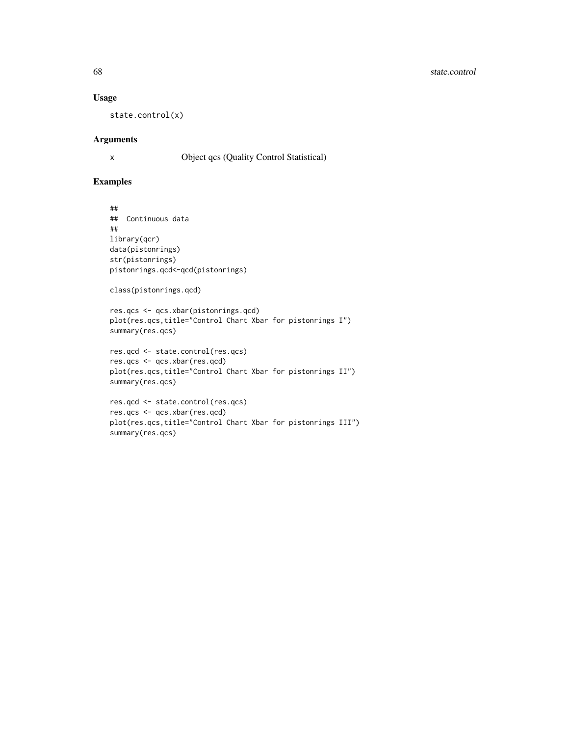#### 68 state.control

#### Usage

state.control(x)

#### Arguments

```
x Object qcs (Quality Control Statistical)
```
#### Examples

## ## Continuous data ## library(qcr) data(pistonrings) str(pistonrings) pistonrings.qcd<-qcd(pistonrings)

```
class(pistonrings.qcd)
```

```
res.qcs <- qcs.xbar(pistonrings.qcd)
plot(res.qcs,title="Control Chart Xbar for pistonrings I")
summary(res.qcs)
```

```
res.qcd <- state.control(res.qcs)
res.qcs <- qcs.xbar(res.qcd)
plot(res.qcs,title="Control Chart Xbar for pistonrings II")
summary(res.qcs)
```

```
res.qcd <- state.control(res.qcs)
res.qcs <- qcs.xbar(res.qcd)
plot(res.qcs,title="Control Chart Xbar for pistonrings III")
summary(res.qcs)
```